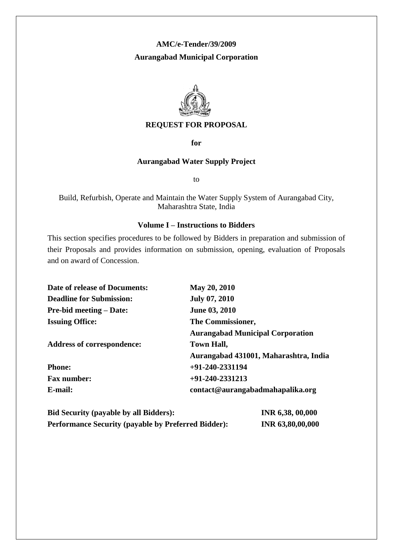#### **AMC/e-Tender/39/2009**

## **Aurangabad Municipal Corporation**



#### **REQUEST FOR PROPOSAL**

**for**

#### **Aurangabad Water Supply Project**

to

Build, Refurbish, Operate and Maintain the Water Supply System of Aurangabad City, Maharashtra State, India

#### **Volume I – Instructions to Bidders**

This section specifies procedures to be followed by Bidders in preparation and submission of their Proposals and provides information on submission, opening, evaluation of Proposals and on award of Concession.

| <b>Date of release of Documents:</b> | May 20, 2010                            |
|--------------------------------------|-----------------------------------------|
| <b>Deadline for Submission:</b>      | <b>July 07, 2010</b>                    |
| <b>Pre-bid meeting – Date:</b>       | <b>June 03, 2010</b>                    |
| <b>Issuing Office:</b>               | The Commissioner,                       |
|                                      | <b>Aurangabad Municipal Corporation</b> |
| <b>Address of correspondence:</b>    | <b>Town Hall,</b>                       |
|                                      | Aurangabad 431001, Maharashtra, India   |
| <b>Phone:</b>                        | $+91-240-2331194$                       |
| <b>Fax number:</b>                   | $+91-240-2331213$                       |
| E-mail:                              | contact@aurangabadmahapalika.org        |
|                                      |                                         |

| <b>Bid Security (payable by all Bidders):</b>              | INR 6,38, 00,000 |
|------------------------------------------------------------|------------------|
| <b>Performance Security (payable by Preferred Bidder):</b> | INR 63,80,00,000 |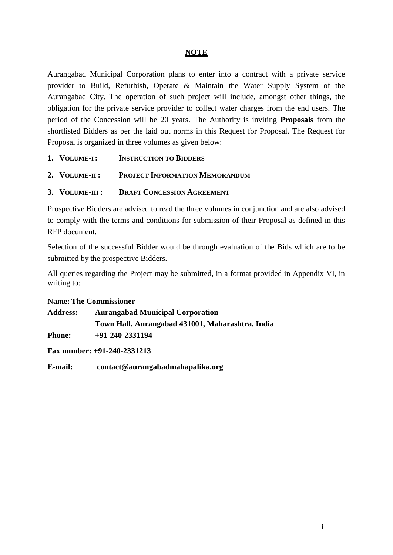# **NOTE**

Aurangabad Municipal Corporation plans to enter into a contract with a private service provider to Build, Refurbish, Operate & Maintain the Water Supply System of the Aurangabad City. The operation of such project will include, amongst other things, the obligation for the private service provider to collect water charges from the end users. The period of the Concession will be 20 years. The Authority is inviting **Proposals** from the shortlisted Bidders as per the laid out norms in this Request for Proposal. The Request for Proposal is organized in three volumes as given below:

- **1. VOLUME-I: INSTRUCTION TO BIDDERS**
- **2. VOLUME-II : PROJECT INFORMATION MEMORANDUM**
- **3. VOLUME-III : DRAFT CONCESSION AGREEMENT**

Prospective Bidders are advised to read the three volumes in conjunction and are also advised to comply with the terms and conditions for submission of their Proposal as defined in this RFP document.

Selection of the successful Bidder would be through evaluation of the Bids which are to be submitted by the prospective Bidders.

All queries regarding the Project may be submitted, in a format provided in Appendix VI, in writing to:

#### **Name: The Commissioner**

| <b>Address:</b> | <b>Aurangabad Municipal Corporation</b>          |
|-----------------|--------------------------------------------------|
|                 | Town Hall, Aurangabad 431001, Maharashtra, India |
| <b>Phone:</b>   | $+91-240-2331194$                                |

**Fax number: +91-240-2331213**

**E-mail: contact@aurangabadmahapalika.org**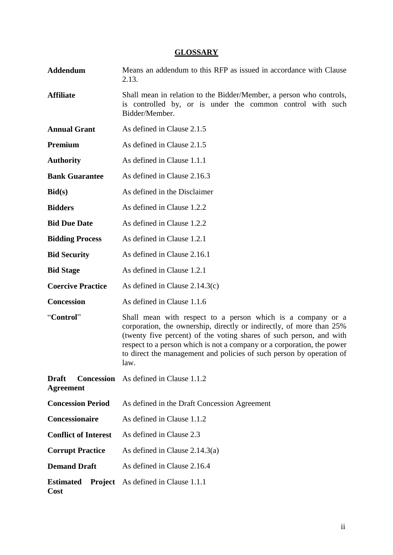#### **GLOSSARY**

- **Addendum** Means an addendum to this RFP as issued in accordance with Clause 2.13.
- Affiliate Shall mean in relation to the Bidder/Member, a person who controls, is controlled by, or is under the common control with such Bidder/Member.
- **Annual Grant** As defined in Clause 2.1.5
- **Premium** As defined in Clause 2.1.5
- **Authority** As defined in Clause 1.1.1
- **Bank Guarantee** As defined in Clause 2.16.3
- **Bid(s)** As defined in the Disclaimer
- **Bidders** As defined in Clause 1.2.2.
- **Bid Due Date** As defined in Clause 1.2.2
- **Bidding Process** As defined in Clause 1.2.1
- **Bid Security** As defined in Clause 2.16.1
- **Bid Stage** As defined in Clause 1.2.1
- **Coercive Practice** As defined in Clause 2.14.3(c)
- **Concession** As defined in Clause 1.1.6
- "**Control**" Shall mean with respect to a person which is a company or a corporation, the ownership, directly or indirectly, of more than 25% (twenty five percent) of the voting shares of such person, and with respect to a person which is not a company or a corporation, the power to direct the management and policies of such person by operation of law.
- **Draft Concession**  As defined in Clause 1.1.2 **Agreement Concession Period** As defined in the Draft Concession Agreement **Concessionaire** As defined in Clause 1.1.2 **Conflict of Interest** As defined in Clause 2.3 **Corrupt Practice** As defined in Clause 2.14.3(a) **Demand Draft** As defined in Clause 2.16.4 **Estimated Project**  As defined in Clause 1.1.1**Cost**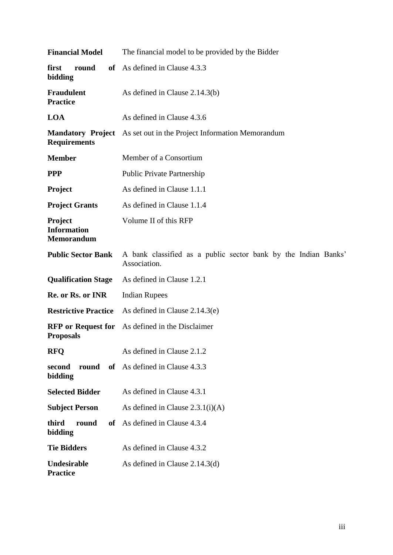| <b>Financial Model</b>                             | The financial model to be provided by the Bidder                               |  |  |
|----------------------------------------------------|--------------------------------------------------------------------------------|--|--|
| first<br>round<br>bidding                          | of As defined in Clause 4.3.3                                                  |  |  |
| <b>Fraudulent</b><br><b>Practice</b>               | As defined in Clause 2.14.3(b)                                                 |  |  |
| <b>LOA</b>                                         | As defined in Clause 4.3.6                                                     |  |  |
| <b>Mandatory Project</b><br><b>Requirements</b>    | As set out in the Project Information Memorandum                               |  |  |
| <b>Member</b>                                      | Member of a Consortium                                                         |  |  |
| <b>PPP</b>                                         | <b>Public Private Partnership</b>                                              |  |  |
| Project                                            | As defined in Clause 1.1.1                                                     |  |  |
| <b>Project Grants</b>                              | As defined in Clause 1.1.4                                                     |  |  |
| Project<br><b>Information</b><br><b>Memorandum</b> | Volume II of this RFP                                                          |  |  |
| <b>Public Sector Bank</b>                          | A bank classified as a public sector bank by the Indian Banks'<br>Association. |  |  |
| <b>Qualification Stage</b>                         | As defined in Clause 1.2.1                                                     |  |  |
| Re. or Rs. or INR                                  | <b>Indian Rupees</b>                                                           |  |  |
| <b>Restrictive Practice</b>                        | As defined in Clause $2.14.3(e)$                                               |  |  |
| <b>RFP</b> or Request for<br><b>Proposals</b>      | As defined in the Disclaimer                                                   |  |  |
| <b>RFQ</b>                                         | As defined in Clause 2.1.2                                                     |  |  |
| round<br>of<br>second<br>bidding                   | As defined in Clause 4.3.3                                                     |  |  |
| <b>Selected Bidder</b>                             | As defined in Clause 4.3.1                                                     |  |  |
| <b>Subject Person</b>                              | As defined in Clause $2.3.1(i)(A)$                                             |  |  |
| third<br>round<br><b>of</b><br>bidding             | As defined in Clause 4.3.4                                                     |  |  |
| <b>Tie Bidders</b>                                 | As defined in Clause 4.3.2                                                     |  |  |
| Undesirable<br><b>Practice</b>                     | As defined in Clause $2.14.3(d)$                                               |  |  |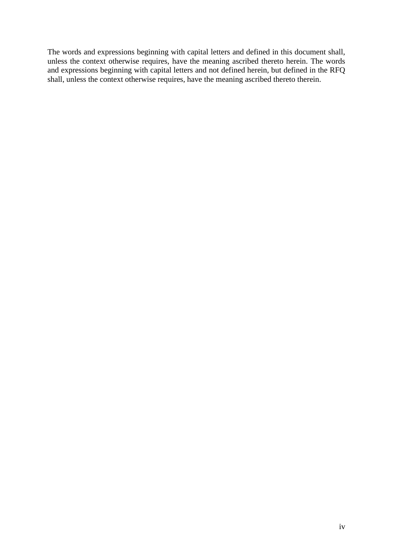The words and expressions beginning with capital letters and defined in this document shall, unless the context otherwise requires, have the meaning ascribed thereto herein. The words and expressions beginning with capital letters and not defined herein, but defined in the RFQ shall, unless the context otherwise requires, have the meaning ascribed thereto therein.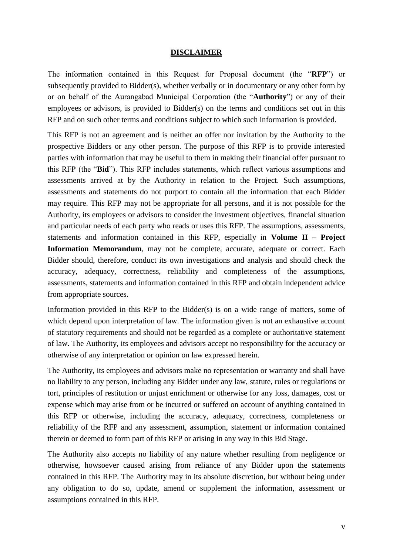#### **DISCLAIMER**

The information contained in this Request for Proposal document (the "**RFP**") or subsequently provided to Bidder(s), whether verbally or in documentary or any other form by or on behalf of the Aurangabad Municipal Corporation (the "**Authority**") or any of their employees or advisors, is provided to Bidder(s) on the terms and conditions set out in this RFP and on such other terms and conditions subject to which such information is provided.

This RFP is not an agreement and is neither an offer nor invitation by the Authority to the prospective Bidders or any other person. The purpose of this RFP is to provide interested parties with information that may be useful to them in making their financial offer pursuant to this RFP (the "**Bid**"). This RFP includes statements, which reflect various assumptions and assessments arrived at by the Authority in relation to the Project. Such assumptions, assessments and statements do not purport to contain all the information that each Bidder may require. This RFP may not be appropriate for all persons, and it is not possible for the Authority, its employees or advisors to consider the investment objectives, financial situation and particular needs of each party who reads or uses this RFP. The assumptions, assessments, statements and information contained in this RFP, especially in **Volume II – Project Information Memorandum**, may not be complete, accurate, adequate or correct. Each Bidder should, therefore, conduct its own investigations and analysis and should check the accuracy, adequacy, correctness, reliability and completeness of the assumptions, assessments, statements and information contained in this RFP and obtain independent advice from appropriate sources.

Information provided in this RFP to the Bidder(s) is on a wide range of matters, some of which depend upon interpretation of law. The information given is not an exhaustive account of statutory requirements and should not be regarded as a complete or authoritative statement of law. The Authority, its employees and advisors accept no responsibility for the accuracy or otherwise of any interpretation or opinion on law expressed herein.

The Authority, its employees and advisors make no representation or warranty and shall have no liability to any person, including any Bidder under any law, statute, rules or regulations or tort, principles of restitution or unjust enrichment or otherwise for any loss, damages, cost or expense which may arise from or be incurred or suffered on account of anything contained in this RFP or otherwise, including the accuracy, adequacy, correctness, completeness or reliability of the RFP and any assessment, assumption, statement or information contained therein or deemed to form part of this RFP or arising in any way in this Bid Stage.

The Authority also accepts no liability of any nature whether resulting from negligence or otherwise, howsoever caused arising from reliance of any Bidder upon the statements contained in this RFP. The Authority may in its absolute discretion, but without being under any obligation to do so, update, amend or supplement the information, assessment or assumptions contained in this RFP.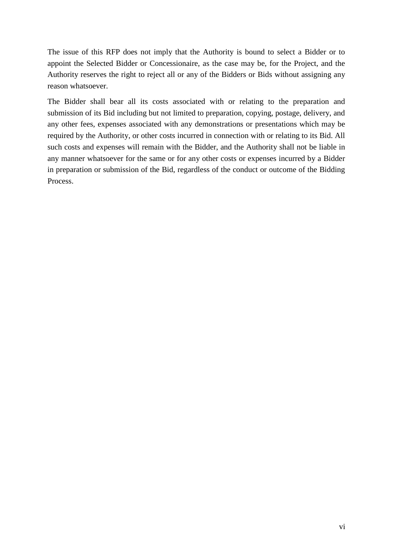The issue of this RFP does not imply that the Authority is bound to select a Bidder or to appoint the Selected Bidder or Concessionaire, as the case may be, for the Project, and the Authority reserves the right to reject all or any of the Bidders or Bids without assigning any reason whatsoever.

The Bidder shall bear all its costs associated with or relating to the preparation and submission of its Bid including but not limited to preparation, copying, postage, delivery, and any other fees, expenses associated with any demonstrations or presentations which may be required by the Authority, or other costs incurred in connection with or relating to its Bid. All such costs and expenses will remain with the Bidder, and the Authority shall not be liable in any manner whatsoever for the same or for any other costs or expenses incurred by a Bidder in preparation or submission of the Bid, regardless of the conduct or outcome of the Bidding Process.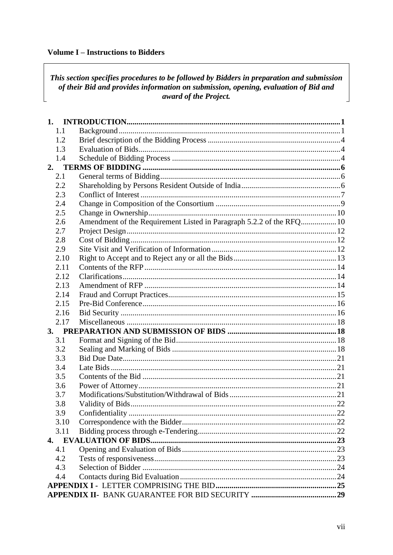## **Volume I - Instructions to Bidders**

# This section specifies procedures to be followed by Bidders in preparation and submission of their Bid and provides information on submission, opening, evaluation of Bid and award of the Project.

|    | 1.1  |                                                                      |  |
|----|------|----------------------------------------------------------------------|--|
|    | 1.2  |                                                                      |  |
|    | 1.3  |                                                                      |  |
|    | 1.4  |                                                                      |  |
| 2. |      |                                                                      |  |
|    | 2.1  |                                                                      |  |
|    | 2.2  |                                                                      |  |
|    | 2.3  |                                                                      |  |
|    | 2.4  |                                                                      |  |
|    | 2.5  |                                                                      |  |
|    | 2.6  | Amendment of the Requirement Listed in Paragraph 5.2.2 of the RFQ 10 |  |
|    | 2.7  |                                                                      |  |
|    | 2.8  |                                                                      |  |
|    | 2.9  |                                                                      |  |
|    | 2.10 |                                                                      |  |
|    | 2.11 |                                                                      |  |
|    | 2.12 |                                                                      |  |
|    | 2.13 |                                                                      |  |
|    | 2.14 |                                                                      |  |
|    | 2.15 |                                                                      |  |
|    | 2.16 |                                                                      |  |
|    | 2.17 |                                                                      |  |
|    |      |                                                                      |  |
|    | 3.1  |                                                                      |  |
|    | 3.2  |                                                                      |  |
|    | 3.3  |                                                                      |  |
|    | 3.4  |                                                                      |  |
|    | 3.5  |                                                                      |  |
|    | 3.6  |                                                                      |  |
|    | 3.7  |                                                                      |  |
|    | 3.8  |                                                                      |  |
|    | 3.9  |                                                                      |  |
|    | 3.10 |                                                                      |  |
|    | 3.11 |                                                                      |  |
|    |      |                                                                      |  |
|    | 4.1  |                                                                      |  |
|    | 4.2  |                                                                      |  |
|    | 4.3  |                                                                      |  |
|    | 4.4  |                                                                      |  |
|    |      |                                                                      |  |
|    |      |                                                                      |  |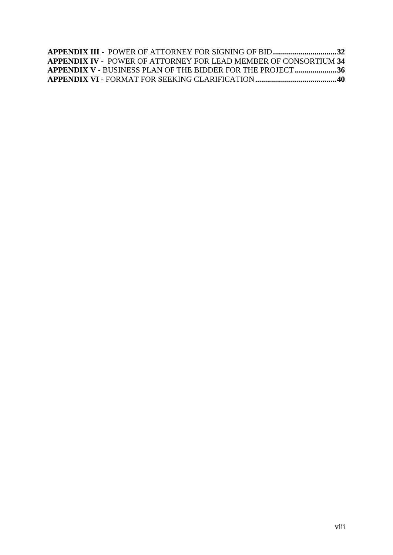|  |  | <b>APPENDIX III - POWER OF ATTORNEY FOR SIGNING OF BID 32</b>           |  |
|--|--|-------------------------------------------------------------------------|--|
|  |  | <b>APPENDIX IV - POWER OF ATTORNEY FOR LEAD MEMBER OF CONSORTIUM 34</b> |  |
|  |  | APPENDIX V - BUSINESS PLAN OF THE BIDDER FOR THE PROJECT 36             |  |
|  |  |                                                                         |  |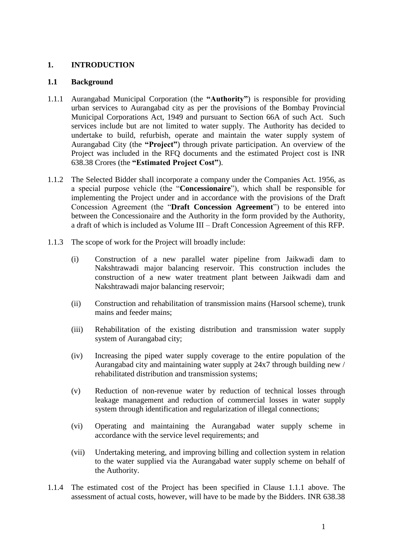# <span id="page-9-0"></span>**1. INTRODUCTION**

#### <span id="page-9-1"></span>**1.1 Background**

- 1.1.1 Aurangabad Municipal Corporation (the **"Authority"**) is responsible for providing urban services to Aurangabad city as per the provisions of the Bombay Provincial Municipal Corporations Act, 1949 and pursuant to Section 66A of such Act. Such services include but are not limited to water supply. The Authority has decided to undertake to build, refurbish, operate and maintain the water supply system of Aurangabad City (the **"Project"**) through private participation. An overview of the Project was included in the RFQ documents and the estimated Project cost is INR 638.38 Crores (the **"Estimated Project Cost"**).
- 1.1.2 The Selected Bidder shall incorporate a company under the Companies Act. 1956, as a special purpose vehicle (the "**Concessionaire**"), which shall be responsible for implementing the Project under and in accordance with the provisions of the Draft Concession Agreement (the "**Draft Concession Agreement**") to be entered into between the Concessionaire and the Authority in the form provided by the Authority, a draft of which is included as Volume III – Draft Concession Agreement of this RFP.
- 1.1.3 The scope of work for the Project will broadly include:
	- (i) Construction of a new parallel water pipeline from Jaikwadi dam to Nakshtrawadi major balancing reservoir. This construction includes the construction of a new water treatment plant between Jaikwadi dam and Nakshtrawadi major balancing reservoir;
	- (ii) Construction and rehabilitation of transmission mains (Harsool scheme), trunk mains and feeder mains;
	- (iii) Rehabilitation of the existing distribution and transmission water supply system of Aurangabad city;
	- (iv) Increasing the piped water supply coverage to the entire population of the Aurangabad city and maintaining water supply at 24x7 through building new / rehabilitated distribution and transmission systems;
	- (v) Reduction of non-revenue water by reduction of technical losses through leakage management and reduction of commercial losses in water supply system through identification and regularization of illegal connections;
	- (vi) Operating and maintaining the Aurangabad water supply scheme in accordance with the service level requirements; and
	- (vii) Undertaking metering, and improving billing and collection system in relation to the water supplied via the Aurangabad water supply scheme on behalf of the Authority.
- 1.1.4 The estimated cost of the Project has been specified in Clause 1.1.1 above. The assessment of actual costs, however, will have to be made by the Bidders. INR 638.38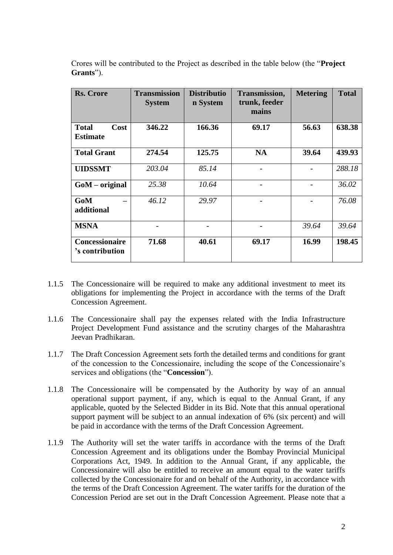| Rs. Crore                               | <b>Transmission</b><br><b>System</b> | <b>Distributio</b><br>n System | <b>Transmission,</b><br>trunk, feeder<br>mains | <b>Metering</b> | <b>Total</b> |
|-----------------------------------------|--------------------------------------|--------------------------------|------------------------------------------------|-----------------|--------------|
| <b>Total</b><br>Cost<br><b>Estimate</b> | 346.22                               | 166.36                         | 69.17                                          | 56.63           | 638.38       |
| <b>Total Grant</b>                      | 274.54                               | 125.75                         | <b>NA</b>                                      | 39.64           | 439.93       |
| <b>UIDSSMT</b>                          | 203.04                               | 85.14                          |                                                |                 | 288.18       |
| $GoM - original$                        | 25.38                                | 10.64                          |                                                |                 | 36.02        |
| GoM<br>additional                       | 46.12                                | 29.97                          |                                                |                 | 76.08        |
| <b>MSNA</b>                             |                                      |                                |                                                | 39.64           | 39.64        |
| Concessionaire<br>'s contribution       | 71.68                                | 40.61                          | 69.17                                          | 16.99           | 198.45       |

Crores will be contributed to the Project as described in the table below (the "**Project Grants**").

- 1.1.5 The Concessionaire will be required to make any additional investment to meet its obligations for implementing the Project in accordance with the terms of the Draft Concession Agreement.
- 1.1.6 The Concessionaire shall pay the expenses related with the India Infrastructure Project Development Fund assistance and the scrutiny charges of the Maharashtra Jeevan Pradhikaran.
- 1.1.7 The Draft Concession Agreement sets forth the detailed terms and conditions for grant of the concession to the Concessionaire, including the scope of the Concessionaire's services and obligations (the "**Concession**").
- 1.1.8 The Concessionaire will be compensated by the Authority by way of an annual operational support payment, if any, which is equal to the Annual Grant, if any applicable, quoted by the Selected Bidder in its Bid. Note that this annual operational support payment will be subject to an annual indexation of 6% (six percent) and will be paid in accordance with the terms of the Draft Concession Agreement.
- 1.1.9 The Authority will set the water tariffs in accordance with the terms of the Draft Concession Agreement and its obligations under the Bombay Provincial Municipal Corporations Act, 1949. In addition to the Annual Grant, if any applicable, the Concessionaire will also be entitled to receive an amount equal to the water tariffs collected by the Concessionaire for and on behalf of the Authority, in accordance with the terms of the Draft Concession Agreement. The water tariffs for the duration of the Concession Period are set out in the Draft Concession Agreement. Please note that a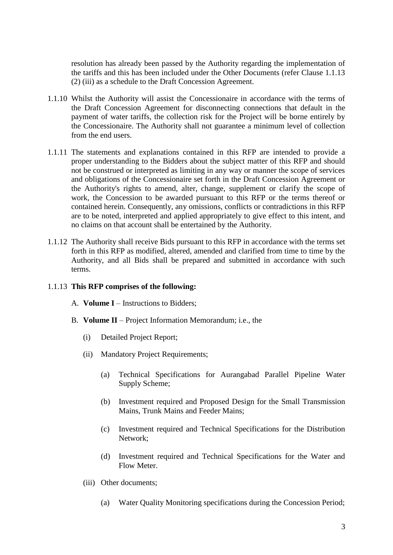resolution has already been passed by the Authority regarding the implementation of the tariffs and this has been included under the Other Documents (refer Clause 1.1.13 (2) (iii) as a schedule to the Draft Concession Agreement.

- 1.1.10 Whilst the Authority will assist the Concessionaire in accordance with the terms of the Draft Concession Agreement for disconnecting connections that default in the payment of water tariffs, the collection risk for the Project will be borne entirely by the Concessionaire. The Authority shall not guarantee a minimum level of collection from the end users.
- 1.1.11 The statements and explanations contained in this RFP are intended to provide a proper understanding to the Bidders about the subject matter of this RFP and should not be construed or interpreted as limiting in any way or manner the scope of services and obligations of the Concessionaire set forth in the Draft Concession Agreement or the Authority's rights to amend, alter, change, supplement or clarify the scope of work, the Concession to be awarded pursuant to this RFP or the terms thereof or contained herein. Consequently, any omissions, conflicts or contradictions in this RFP are to be noted, interpreted and applied appropriately to give effect to this intent, and no claims on that account shall be entertained by the Authority.
- 1.1.12 The Authority shall receive Bids pursuant to this RFP in accordance with the terms set forth in this RFP as modified, altered, amended and clarified from time to time by the Authority, and all Bids shall be prepared and submitted in accordance with such terms.

#### 1.1.13 **This RFP comprises of the following:**

- A. **Volume I** Instructions to Bidders;
- B. **Volume II** Project Information Memorandum; i.e., the
	- (i) Detailed Project Report;
	- (ii) Mandatory Project Requirements;
		- (a) Technical Specifications for Aurangabad Parallel Pipeline Water Supply Scheme;
		- (b) Investment required and Proposed Design for the Small Transmission Mains, Trunk Mains and Feeder Mains;
		- (c) Investment required and Technical Specifications for the Distribution Network;
		- (d) Investment required and Technical Specifications for the Water and Flow Meter.
	- (iii) Other documents;
		- (a) Water Quality Monitoring specifications during the Concession Period;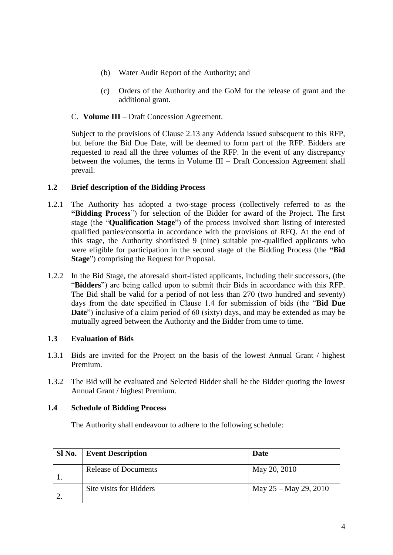- (b) Water Audit Report of the Authority; and
- (c) Orders of the Authority and the GoM for the release of grant and the additional grant.

## C. **Volume III** – Draft Concession Agreement.

Subject to the provisions of Clause 2.13 any Addenda issued subsequent to this RFP, but before the Bid Due Date, will be deemed to form part of the RFP. Bidders are requested to read all the three volumes of the RFP. In the event of any discrepancy between the volumes, the terms in Volume III – Draft Concession Agreement shall prevail.

## <span id="page-12-0"></span>**1.2 Brief description of the Bidding Process**

- 1.2.1 The Authority has adopted a two-stage process (collectively referred to as the **"Bidding Process**") for selection of the Bidder for award of the Project. The first stage (the "**Qualification Stage**") of the process involved short listing of interested qualified parties/consortia in accordance with the provisions of RFQ. At the end of this stage, the Authority shortlisted 9 (nine) suitable pre-qualified applicants who were eligible for participation in the second stage of the Bidding Process (the **"Bid Stage**") comprising the Request for Proposal.
- 1.2.2 In the Bid Stage, the aforesaid short-listed applicants, including their successors, (the "**Bidders**") are being called upon to submit their Bids in accordance with this RFP. The Bid shall be valid for a period of not less than 270 (two hundred and seventy) days from the date specified in Clause 1.4 for submission of bids (the "**Bid Due Date**") inclusive of a claim period of 60 (sixty) days, and may be extended as may be mutually agreed between the Authority and the Bidder from time to time.

# <span id="page-12-1"></span>**1.3 Evaluation of Bids**

- 1.3.1 Bids are invited for the Project on the basis of the lowest Annual Grant / highest Premium.
- 1.3.2 The Bid will be evaluated and Selected Bidder shall be the Bidder quoting the lowest Annual Grant / highest Premium.

#### <span id="page-12-2"></span>**1.4 Schedule of Bidding Process**

The Authority shall endeavour to adhere to the following schedule:

| SI No. | <b>Event Description</b> | Date                    |
|--------|--------------------------|-------------------------|
|        | Release of Documents     | May 20, 2010            |
|        | Site visits for Bidders  | May $25 -$ May 29, 2010 |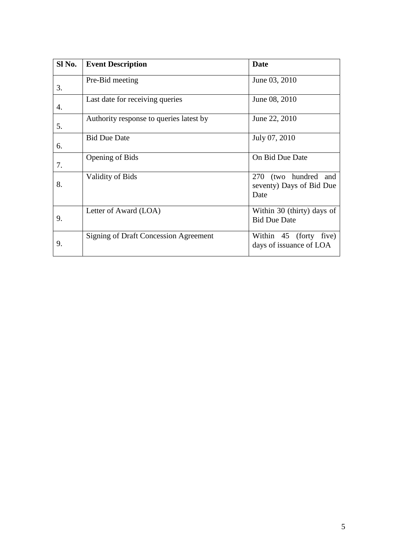| Sl No. | <b>Event Description</b>                     | <b>Date</b>                                                     |
|--------|----------------------------------------------|-----------------------------------------------------------------|
| 3.     | Pre-Bid meeting                              | June 03, 2010                                                   |
| 4.     | Last date for receiving queries              | June 08, 2010                                                   |
| 5.     | Authority response to queries latest by      | June 22, 2010                                                   |
| 6.     | <b>Bid Due Date</b>                          | July 07, 2010                                                   |
| 7.     | <b>Opening of Bids</b>                       | On Bid Due Date                                                 |
| 8.     | <b>Validity of Bids</b>                      | 270<br>(two hundred)<br>and<br>seventy) Days of Bid Due<br>Date |
| 9.     | Letter of Award (LOA)                        | Within 30 (thirty) days of<br><b>Bid Due Date</b>               |
| 9.     | <b>Signing of Draft Concession Agreement</b> | Within 45 (forty<br>five)<br>days of issuance of LOA            |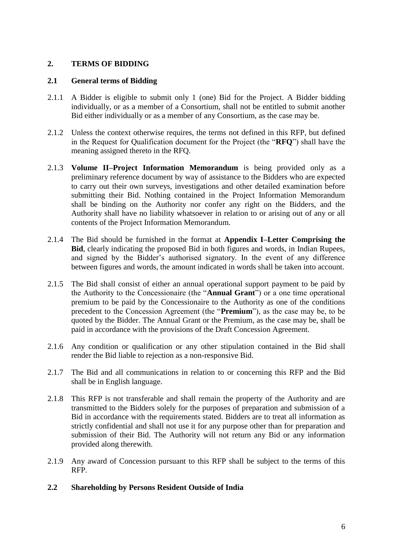# <span id="page-14-0"></span>**2. TERMS OF BIDDING**

## <span id="page-14-1"></span>**2.1 General terms of Bidding**

- 2.1.1 A Bidder is eligible to submit only 1 (one) Bid for the Project. A Bidder bidding individually, or as a member of a Consortium, shall not be entitled to submit another Bid either individually or as a member of any Consortium, as the case may be.
- 2.1.2 Unless the context otherwise requires, the terms not defined in this RFP, but defined in the Request for Qualification document for the Project (the "**RFQ**") shall have the meaning assigned thereto in the RFQ.
- 2.1.3 **Volume II–Project Information Memorandum** is being provided only as a preliminary reference document by way of assistance to the Bidders who are expected to carry out their own surveys, investigations and other detailed examination before submitting their Bid. Nothing contained in the Project Information Memorandum shall be binding on the Authority nor confer any right on the Bidders, and the Authority shall have no liability whatsoever in relation to or arising out of any or all contents of the Project Information Memorandum.
- 2.1.4 The Bid should be furnished in the format at **Appendix I–Letter Comprising the Bid**, clearly indicating the proposed Bid in both figures and words, in Indian Rupees, and signed by the Bidder's authorised signatory. In the event of any difference between figures and words, the amount indicated in words shall be taken into account.
- 2.1.5 The Bid shall consist of either an annual operational support payment to be paid by the Authority to the Concessionaire (the "**Annual Grant**") or a one time operational premium to be paid by the Concessionaire to the Authority as one of the conditions precedent to the Concession Agreement (the "**Premium**"), as the case may be, to be quoted by the Bidder. The Annual Grant or the Premium, as the case may be, shall be paid in accordance with the provisions of the Draft Concession Agreement.
- 2.1.6 Any condition or qualification or any other stipulation contained in the Bid shall render the Bid liable to rejection as a non-responsive Bid.
- 2.1.7 The Bid and all communications in relation to or concerning this RFP and the Bid shall be in English language.
- 2.1.8 This RFP is not transferable and shall remain the property of the Authority and are transmitted to the Bidders solely for the purposes of preparation and submission of a Bid in accordance with the requirements stated. Bidders are to treat all information as strictly confidential and shall not use it for any purpose other than for preparation and submission of their Bid. The Authority will not return any Bid or any information provided along therewith.
- 2.1.9 Any award of Concession pursuant to this RFP shall be subject to the terms of this RFP.

# <span id="page-14-2"></span>**2.2 Shareholding by Persons Resident Outside of India**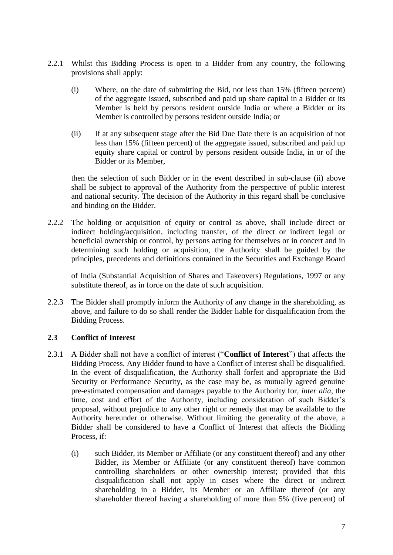- 2.2.1 Whilst this Bidding Process is open to a Bidder from any country, the following provisions shall apply:
	- (i) Where, on the date of submitting the Bid, not less than 15% (fifteen percent) of the aggregate issued, subscribed and paid up share capital in a Bidder or its Member is held by persons resident outside India or where a Bidder or its Member is controlled by persons resident outside India; or
	- (ii) If at any subsequent stage after the Bid Due Date there is an acquisition of not less than 15% (fifteen percent) of the aggregate issued, subscribed and paid up equity share capital or control by persons resident outside India, in or of the Bidder or its Member,

then the selection of such Bidder or in the event described in sub-clause (ii) above shall be subject to approval of the Authority from the perspective of public interest and national security. The decision of the Authority in this regard shall be conclusive and binding on the Bidder.

2.2.2 The holding or acquisition of equity or control as above, shall include direct or indirect holding/acquisition, including transfer, of the direct or indirect legal or beneficial ownership or control, by persons acting for themselves or in concert and in determining such holding or acquisition, the Authority shall be guided by the principles, precedents and definitions contained in the Securities and Exchange Board

of India (Substantial Acquisition of Shares and Takeovers) Regulations, 1997 or any substitute thereof, as in force on the date of such acquisition.

2.2.3 The Bidder shall promptly inform the Authority of any change in the shareholding, as above, and failure to do so shall render the Bidder liable for disqualification from the Bidding Process.

# <span id="page-15-0"></span>**2.3 Conflict of Interest**

- 2.3.1 A Bidder shall not have a conflict of interest ("**Conflict of Interest**") that affects the Bidding Process. Any Bidder found to have a Conflict of Interest shall be disqualified. In the event of disqualification, the Authority shall forfeit and appropriate the Bid Security or Performance Security, as the case may be, as mutually agreed genuine pre-estimated compensation and damages payable to the Authority for, *inter alia*, the time, cost and effort of the Authority, including consideration of such Bidder's proposal, without prejudice to any other right or remedy that may be available to the Authority hereunder or otherwise. Without limiting the generality of the above, a Bidder shall be considered to have a Conflict of Interest that affects the Bidding Process, if:
	- (i) such Bidder, its Member or Affiliate (or any constituent thereof) and any other Bidder, its Member or Affiliate (or any constituent thereof) have common controlling shareholders or other ownership interest; provided that this disqualification shall not apply in cases where the direct or indirect shareholding in a Bidder, its Member or an Affiliate thereof (or any shareholder thereof having a shareholding of more than 5% (five percent) of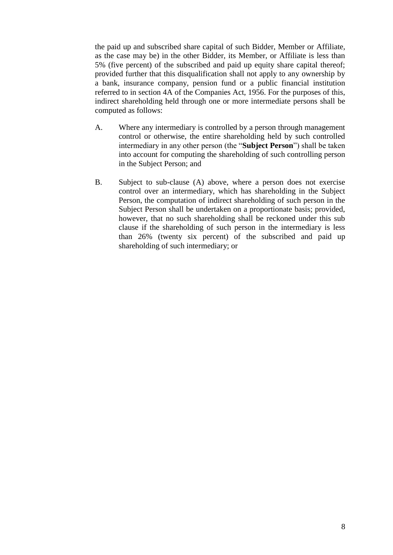the paid up and subscribed share capital of such Bidder, Member or Affiliate, as the case may be) in the other Bidder, its Member, or Affiliate is less than 5% (five percent) of the subscribed and paid up equity share capital thereof; provided further that this disqualification shall not apply to any ownership by a bank, insurance company, pension fund or a public financial institution referred to in section 4A of the Companies Act, 1956. For the purposes of this, indirect shareholding held through one or more intermediate persons shall be computed as follows:

- A. Where any intermediary is controlled by a person through management control or otherwise, the entire shareholding held by such controlled intermediary in any other person (the "**Subject Person**") shall be taken into account for computing the shareholding of such controlling person in the Subject Person; and
- B. Subject to sub-clause (A) above, where a person does not exercise control over an intermediary, which has shareholding in the Subject Person, the computation of indirect shareholding of such person in the Subject Person shall be undertaken on a proportionate basis; provided, however, that no such shareholding shall be reckoned under this sub clause if the shareholding of such person in the intermediary is less than 26% (twenty six percent) of the subscribed and paid up shareholding of such intermediary; or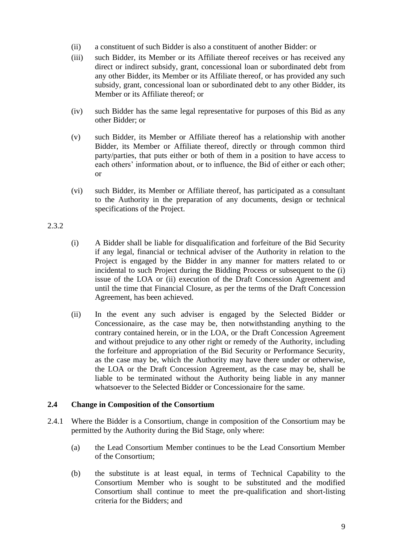- (ii) a constituent of such Bidder is also a constituent of another Bidder: or
- (iii) such Bidder, its Member or its Affiliate thereof receives or has received any direct or indirect subsidy, grant, concessional loan or subordinated debt from any other Bidder, its Member or its Affiliate thereof, or has provided any such subsidy, grant, concessional loan or subordinated debt to any other Bidder, its Member or its Affiliate thereof; or
- (iv) such Bidder has the same legal representative for purposes of this Bid as any other Bidder; or
- (v) such Bidder, its Member or Affiliate thereof has a relationship with another Bidder, its Member or Affiliate thereof, directly or through common third party/parties, that puts either or both of them in a position to have access to each others' information about, or to influence, the Bid of either or each other; or
- (vi) such Bidder, its Member or Affiliate thereof, has participated as a consultant to the Authority in the preparation of any documents, design or technical specifications of the Project.

#### 2.3.2

- (i) A Bidder shall be liable for disqualification and forfeiture of the Bid Security if any legal, financial or technical adviser of the Authority in relation to the Project is engaged by the Bidder in any manner for matters related to or incidental to such Project during the Bidding Process or subsequent to the (i) issue of the LOA or (ii) execution of the Draft Concession Agreement and until the time that Financial Closure, as per the terms of the Draft Concession Agreement, has been achieved.
- (ii) In the event any such adviser is engaged by the Selected Bidder or Concessionaire, as the case may be, then notwithstanding anything to the contrary contained herein, or in the LOA, or the Draft Concession Agreement and without prejudice to any other right or remedy of the Authority, including the forfeiture and appropriation of the Bid Security or Performance Security, as the case may be, which the Authority may have there under or otherwise, the LOA or the Draft Concession Agreement, as the case may be, shall be liable to be terminated without the Authority being liable in any manner whatsoever to the Selected Bidder or Concessionaire for the same.

#### <span id="page-17-0"></span>**2.4 Change in Composition of the Consortium**

- 2.4.1 Where the Bidder is a Consortium, change in composition of the Consortium may be permitted by the Authority during the Bid Stage, only where:
	- (a) the Lead Consortium Member continues to be the Lead Consortium Member of the Consortium;
	- (b) the substitute is at least equal, in terms of Technical Capability to the Consortium Member who is sought to be substituted and the modified Consortium shall continue to meet the pre-qualification and short-listing criteria for the Bidders; and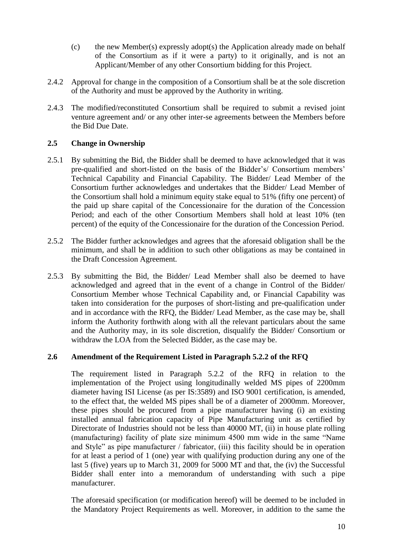- (c) the new Member(s) expressly adopt(s) the Application already made on behalf of the Consortium as if it were a party) to it originally, and is not an Applicant/Member of any other Consortium bidding for this Project.
- 2.4.2 Approval for change in the composition of a Consortium shall be at the sole discretion of the Authority and must be approved by the Authority in writing.
- 2.4.3 The modified/reconstituted Consortium shall be required to submit a revised joint venture agreement and/ or any other inter-se agreements between the Members before the Bid Due Date.

# <span id="page-18-0"></span>**2.5 Change in Ownership**

- 2.5.1 By submitting the Bid, the Bidder shall be deemed to have acknowledged that it was pre-qualified and short-listed on the basis of the Bidder's/ Consortium members' Technical Capability and Financial Capability. The Bidder/ Lead Member of the Consortium further acknowledges and undertakes that the Bidder/ Lead Member of the Consortium shall hold a minimum equity stake equal to 51% (fifty one percent) of the paid up share capital of the Concessionaire for the duration of the Concession Period; and each of the other Consortium Members shall hold at least 10% (ten percent) of the equity of the Concessionaire for the duration of the Concession Period.
- 2.5.2 The Bidder further acknowledges and agrees that the aforesaid obligation shall be the minimum, and shall be in addition to such other obligations as may be contained in the Draft Concession Agreement.
- 2.5.3 By submitting the Bid, the Bidder/ Lead Member shall also be deemed to have acknowledged and agreed that in the event of a change in Control of the Bidder/ Consortium Member whose Technical Capability and, or Financial Capability was taken into consideration for the purposes of short-listing and pre-qualification under and in accordance with the RFQ, the Bidder/ Lead Member, as the case may be, shall inform the Authority forthwith along with all the relevant particulars about the same and the Authority may, in its sole discretion, disqualify the Bidder/ Consortium or withdraw the LOA from the Selected Bidder, as the case may be.

#### <span id="page-18-1"></span>**2.6 Amendment of the Requirement Listed in Paragraph 5.2.2 of the RFQ**

The requirement listed in Paragraph 5.2.2 of the RFQ in relation to the implementation of the Project using longitudinally welded MS pipes of 2200mm diameter having ISI License (as per IS:3589) and ISO 9001 certification, is amended, to the effect that, the welded MS pipes shall be of a diameter of 2000mm. Moreover, these pipes should be procured from a pipe manufacturer having (i) an existing installed annual fabrication capacity of Pipe Manufacturing unit as certified by Directorate of Industries should not be less than 40000 MT, (ii) in house plate rolling (manufacturing) facility of plate size minimum 4500 mm wide in the same "Name and Style" as pipe manufacturer / fabricator, (iii) this facility should be in operation for at least a period of 1 (one) year with qualifying production during any one of the last 5 (five) years up to March 31, 2009 for 5000 MT and that, the (iv) the Successful Bidder shall enter into a memorandum of understanding with such a pipe manufacturer.

The aforesaid specification (or modification hereof) will be deemed to be included in the Mandatory Project Requirements as well. Moreover, in addition to the same the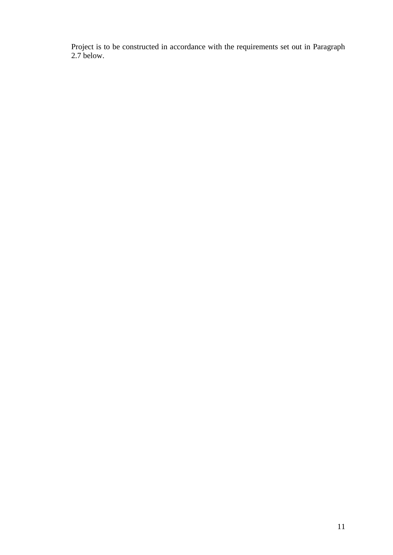Project is to be constructed in accordance with the requirements set out in Paragraph 2.7 below.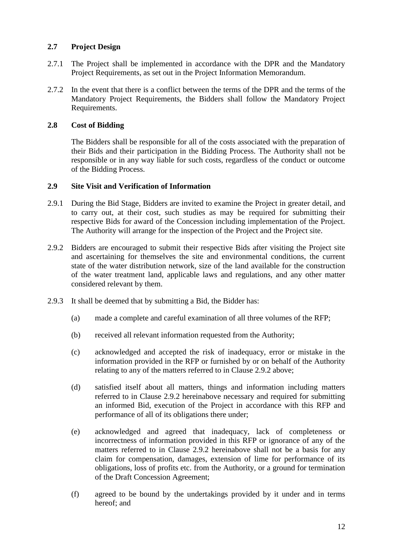# <span id="page-20-0"></span>**2.7 Project Design**

- 2.7.1 The Project shall be implemented in accordance with the DPR and the Mandatory Project Requirements, as set out in the Project Information Memorandum.
- 2.7.2 In the event that there is a conflict between the terms of the DPR and the terms of the Mandatory Project Requirements, the Bidders shall follow the Mandatory Project Requirements.

# <span id="page-20-1"></span>**2.8 Cost of Bidding**

The Bidders shall be responsible for all of the costs associated with the preparation of their Bids and their participation in the Bidding Process. The Authority shall not be responsible or in any way liable for such costs, regardless of the conduct or outcome of the Bidding Process.

# <span id="page-20-2"></span>**2.9 Site Visit and Verification of Information**

- 2.9.1 During the Bid Stage, Bidders are invited to examine the Project in greater detail, and to carry out, at their cost, such studies as may be required for submitting their respective Bids for award of the Concession including implementation of the Project. The Authority will arrange for the inspection of the Project and the Project site.
- 2.9.2 Bidders are encouraged to submit their respective Bids after visiting the Project site and ascertaining for themselves the site and environmental conditions, the current state of the water distribution network, size of the land available for the construction of the water treatment land, applicable laws and regulations, and any other matter considered relevant by them.
- 2.9.3 It shall be deemed that by submitting a Bid, the Bidder has:
	- (a) made a complete and careful examination of all three volumes of the RFP;
	- (b) received all relevant information requested from the Authority;
	- (c) acknowledged and accepted the risk of inadequacy, error or mistake in the information provided in the RFP or furnished by or on behalf of the Authority relating to any of the matters referred to in Clause 2.9.2 above;
	- (d) satisfied itself about all matters, things and information including matters referred to in Clause 2.9.2 hereinabove necessary and required for submitting an informed Bid, execution of the Project in accordance with this RFP and performance of all of its obligations there under;
	- (e) acknowledged and agreed that inadequacy, lack of completeness or incorrectness of information provided in this RFP or ignorance of any of the matters referred to in Clause 2.9.2 hereinabove shall not be a basis for any claim for compensation, damages, extension of lime for performance of its obligations, loss of profits etc. from the Authority, or a ground for termination of the Draft Concession Agreement;
	- (f) agreed to be bound by the undertakings provided by it under and in terms hereof; and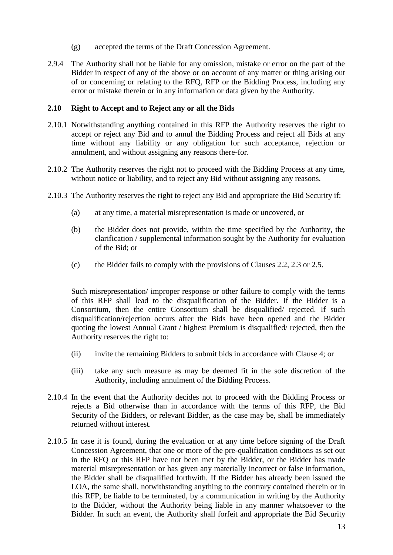- (g) accepted the terms of the Draft Concession Agreement.
- 2.9.4 The Authority shall not be liable for any omission, mistake or error on the part of the Bidder in respect of any of the above or on account of any matter or thing arising out of or concerning or relating to the RFQ, RFP or the Bidding Process, including any error or mistake therein or in any information or data given by the Authority.

#### <span id="page-21-0"></span>**2.10 Right to Accept and to Reject any or all the Bids**

- 2.10.1 Notwithstanding anything contained in this RFP the Authority reserves the right to accept or reject any Bid and to annul the Bidding Process and reject all Bids at any time without any liability or any obligation for such acceptance, rejection or annulment, and without assigning any reasons there-for.
- 2.10.2 The Authority reserves the right not to proceed with the Bidding Process at any time, without notice or liability, and to reject any Bid without assigning any reasons.
- 2.10.3 The Authority reserves the right to reject any Bid and appropriate the Bid Security if:
	- (a) at any time, a material misrepresentation is made or uncovered, or
	- (b) the Bidder does not provide, within the time specified by the Authority, the clarification / supplemental information sought by the Authority for evaluation of the Bid; or
	- (c) the Bidder fails to comply with the provisions of Clauses 2.2, 2.3 or 2.5.

Such misrepresentation/ improper response or other failure to comply with the terms of this RFP shall lead to the disqualification of the Bidder. If the Bidder is a Consortium, then the entire Consortium shall be disqualified/ rejected. If such disqualification/rejection occurs after the Bids have been opened and the Bidder quoting the lowest Annual Grant / highest Premium is disqualified/ rejected, then the Authority reserves the right to:

- (ii) invite the remaining Bidders to submit bids in accordance with Clause 4; or
- (iii) take any such measure as may be deemed fit in the sole discretion of the Authority, including annulment of the Bidding Process.
- 2.10.4 In the event that the Authority decides not to proceed with the Bidding Process or rejects a Bid otherwise than in accordance with the terms of this RFP, the Bid Security of the Bidders, or relevant Bidder, as the case may be, shall be immediately returned without interest.
- 2.10.5 In case it is found, during the evaluation or at any time before signing of the Draft Concession Agreement, that one or more of the pre-qualification conditions as set out in the RFQ or this RFP have not been met by the Bidder, or the Bidder has made material misrepresentation or has given any materially incorrect or false information, the Bidder shall be disqualified forthwith. If the Bidder has already been issued the LOA, the same shall, notwithstanding anything to the contrary contained therein or in this RFP, be liable to be terminated, by a communication in writing by the Authority to the Bidder, without the Authority being liable in any manner whatsoever to the Bidder. In such an event, the Authority shall forfeit and appropriate the Bid Security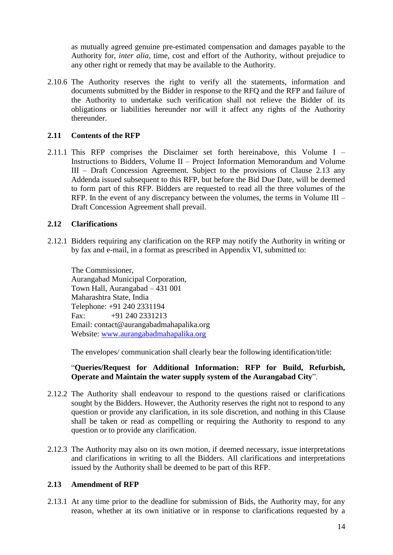as mutually agreed genuine pre-estimated compensation and damages payable to the Authority for, *inter alia*, time, cost and effort of the Authority, without prejudice to any other right or remedy that may be available to the Authority.

2.10.6 The Authority reserves the right to verify all the statements, information and documents submitted by the Bidder in response to the RFQ and the RFP and failure of the Authority to undertake such verification shall not relieve the Bidder of its obligations or liabilities hereunder nor will it affect any rights of the Authority thereunder.

## <span id="page-22-0"></span>**2.11 Contents of the RFP**

2.11.1 This RFP comprises the Disclaimer set forth hereinabove, this Volume I – Instructions to Bidders, Volume II – Project Information Memorandum and Volume III – Draft Concession Agreement. Subject to the provisions of Clause 2.13 any Addenda issued subsequent to this RFP, but before the Bid Due Date, will be deemed to form part of this RFP. Bidders are requested to read all the three volumes of the RFP. In the event of any discrepancy between the volumes, the terms in Volume III – Draft Concession Agreement shall prevail.

## <span id="page-22-1"></span>**2.12 Clarifications**

2.12.1 Bidders requiring any clarification on the RFP may notify the Authority in writing or by fax and e-mail, in a format as prescribed in Appendix VI, submitted to:

The Commissioner, Aurangabad Municipal Corporation, Town Hall, Aurangabad – 431 001 Maharashtra State, India Telephone: +91 240 2331194 Fax: +91 240 2331213 Email: contact@aurangabadmahapalika.org Website: [www.aurangabadmahapalika.org](http://www.aurangabadmahapalika.org/)

The envelopes/ communication shall clearly bear the following identification/title:

## "**Queries/Request for Additional Information: RFP for Build, Refurbish, Operate and Maintain the water supply system of the Aurangabad City**".

- 2.12.2 The Authority shall endeavour to respond to the questions raised or clarifications sought by the Bidders. However, the Authority reserves the right not to respond to any question or provide any clarification, in its sole discretion, and nothing in this Clause shall be taken or read as compelling or requiring the Authority to respond to any question or to provide any clarification.
- 2.12.3 The Authority may also on its own motion, if deemed necessary, issue interpretations and clarifications in writing to all the Bidders. All clarifications and interpretations issued by the Authority shall be deemed to be part of this RFP.

#### <span id="page-22-2"></span>**2.13 Amendment of RFP**

2.13.1 At any time prior to the deadline for submission of Bids, the Authority may, for any reason, whether at its own initiative or in response to clarifications requested by a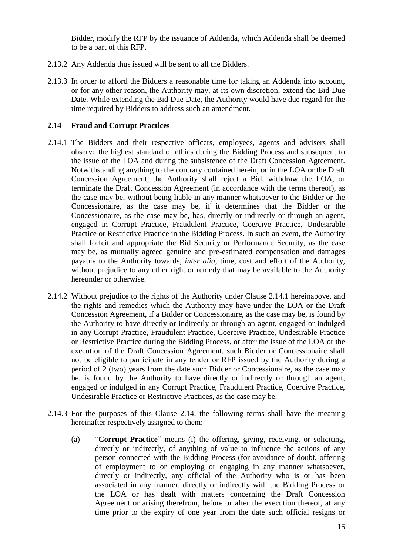Bidder, modify the RFP by the issuance of Addenda, which Addenda shall be deemed to be a part of this RFP.

- 2.13.2 Any Addenda thus issued will be sent to all the Bidders.
- 2.13.3 In order to afford the Bidders a reasonable time for taking an Addenda into account, or for any other reason, the Authority may, at its own discretion, extend the Bid Due Date. While extending the Bid Due Date, the Authority would have due regard for the time required by Bidders to address such an amendment.

#### <span id="page-23-0"></span>**2.14 Fraud and Corrupt Practices**

- 2.14.1 The Bidders and their respective officers, employees, agents and advisers shall observe the highest standard of ethics during the Bidding Process and subsequent to the issue of the LOA and during the subsistence of the Draft Concession Agreement. Notwithstanding anything to the contrary contained herein, or in the LOA or the Draft Concession Agreement, the Authority shall reject a Bid, withdraw the LOA, or terminate the Draft Concession Agreement (in accordance with the terms thereof), as the case may be, without being liable in any manner whatsoever to the Bidder or the Concessionaire, as the case may be, if it determines that the Bidder or the Concessionaire, as the case may be, has, directly or indirectly or through an agent, engaged in Corrupt Practice, Fraudulent Practice, Coercive Practice, Undesirable Practice or Restrictive Practice in the Bidding Process. In such an event, the Authority shall forfeit and appropriate the Bid Security or Performance Security, as the case may be, as mutually agreed genuine and pre-estimated compensation and damages payable to the Authority towards, *inter alia*, time, cost and effort of the Authority, without prejudice to any other right or remedy that may be available to the Authority hereunder or otherwise.
- 2.14.2 Without prejudice to the rights of the Authority under Clause 2.14.1 hereinabove, and the rights and remedies which the Authority may have under the LOA or the Draft Concession Agreement, if a Bidder or Concessionaire, as the case may be, is found by the Authority to have directly or indirectly or through an agent, engaged or indulged in any Corrupt Practice, Fraudulent Practice, Coercive Practice, Undesirable Practice or Restrictive Practice during the Bidding Process, or after the issue of the LOA or the execution of the Draft Concession Agreement, such Bidder or Concessionaire shall not be eligible to participate in any tender or RFP issued by the Authority during a period of 2 (two) years from the date such Bidder or Concessionaire, as the case may be, is found by the Authority to have directly or indirectly or through an agent, engaged or indulged in any Corrupt Practice, Fraudulent Practice, Coercive Practice, Undesirable Practice or Restrictive Practices, as the case may be.
- 2.14.3 For the purposes of this Clause 2.14, the following terms shall have the meaning hereinafter respectively assigned to them:
	- (a) "**Corrupt Practice**" means (i) the offering, giving, receiving, or soliciting, directly or indirectly, of anything of value to influence the actions of any person connected with the Bidding Process (for avoidance of doubt, offering of employment to or employing or engaging in any manner whatsoever, directly or indirectly, any official of the Authority who is or has been associated in any manner, directly or indirectly with the Bidding Process or the LOA or has dealt with matters concerning the Draft Concession Agreement or arising therefrom, before or after the execution thereof, at any time prior to the expiry of one year from the date such official resigns or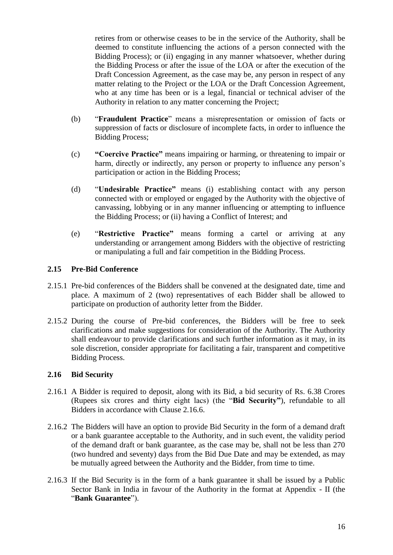retires from or otherwise ceases to be in the service of the Authority, shall be deemed to constitute influencing the actions of a person connected with the Bidding Process); or (ii) engaging in any manner whatsoever, whether during the Bidding Process or after the issue of the LOA or after the execution of the Draft Concession Agreement, as the case may be, any person in respect of any matter relating to the Project or the LOA or the Draft Concession Agreement, who at any time has been or is a legal, financial or technical adviser of the Authority in relation to any matter concerning the Project;

- (b) "**Fraudulent Practice**" means a misrepresentation or omission of facts or suppression of facts or disclosure of incomplete facts, in order to influence the Bidding Process;
- (c) **"Coercive Practice"** means impairing or harming, or threatening to impair or harm, directly or indirectly, any person or property to influence any person's participation or action in the Bidding Process;
- (d) "**Undesirable Practice"** means (i) establishing contact with any person connected with or employed or engaged by the Authority with the objective of canvassing, lobbying or in any manner influencing or attempting to influence the Bidding Process; or (ii) having a Conflict of Interest; and
- (e) "**Restrictive Practice"** means forming a cartel or arriving at any understanding or arrangement among Bidders with the objective of restricting or manipulating a full and fair competition in the Bidding Process.

## <span id="page-24-0"></span>**2.15 Pre-Bid Conference**

- 2.15.1 Pre-bid conferences of the Bidders shall be convened at the designated date, time and place. A maximum of 2 (two) representatives of each Bidder shall be allowed to participate on production of authority letter from the Bidder.
- 2.15.2 During the course of Pre-bid conferences, the Bidders will be free to seek clarifications and make suggestions for consideration of the Authority. The Authority shall endeavour to provide clarifications and such further information as it may, in its sole discretion, consider appropriate for facilitating a fair, transparent and competitive Bidding Process.

#### <span id="page-24-1"></span>**2.16 Bid Security**

- 2.16.1 A Bidder is required to deposit, along with its Bid, a bid security of Rs. 6.38 Crores (Rupees six crores and thirty eight lacs) (the "**Bid Security"**), refundable to all Bidders in accordance with Clause 2.16.6.
- 2.16.2 The Bidders will have an option to provide Bid Security in the form of a demand draft or a bank guarantee acceptable to the Authority, and in such event, the validity period of the demand draft or bank guarantee, as the case may be, shall not be less than 270 (two hundred and seventy) days from the Bid Due Date and may be extended, as may be mutually agreed between the Authority and the Bidder, from time to time.
- 2.16.3 If the Bid Security is in the form of a bank guarantee it shall be issued by a Public Sector Bank in India in favour of the Authority in the format at Appendix - II (the "**Bank Guarantee**").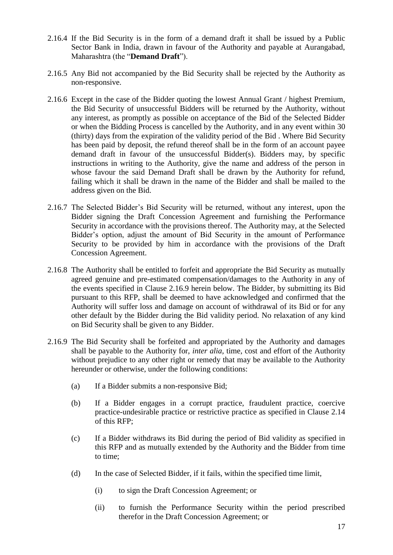- 2.16.4 If the Bid Security is in the form of a demand draft it shall be issued by a Public Sector Bank in India, drawn in favour of the Authority and payable at Aurangabad, Maharashtra (the "**Demand Draft**").
- 2.16.5 Any Bid not accompanied by the Bid Security shall be rejected by the Authority as non-responsive.
- 2.16.6 Except in the case of the Bidder quoting the lowest Annual Grant / highest Premium, the Bid Security of unsuccessful Bidders will be returned by the Authority, without any interest, as promptly as possible on acceptance of the Bid of the Selected Bidder or when the Bidding Process is cancelled by the Authority, and in any event within 30 (thirty) days from the expiration of the validity period of the Bid . Where Bid Security has been paid by deposit, the refund thereof shall be in the form of an account payee demand draft in favour of the unsuccessful Bidder(s). Bidders may, by specific instructions in writing to the Authority, give the name and address of the person in whose favour the said Demand Draft shall be drawn by the Authority for refund, failing which it shall be drawn in the name of the Bidder and shall be mailed to the address given on the Bid.
- 2.16.7 The Selected Bidder's Bid Security will be returned, without any interest, upon the Bidder signing the Draft Concession Agreement and furnishing the Performance Security in accordance with the provisions thereof. The Authority may, at the Selected Bidder's option, adjust the amount of Bid Security in the amount of Performance Security to be provided by him in accordance with the provisions of the Draft Concession Agreement.
- 2.16.8 The Authority shall be entitled to forfeit and appropriate the Bid Security as mutually agreed genuine and pre-estimated compensation/damages to the Authority in any of the events specified in Clause 2.16.9 herein below. The Bidder, by submitting its Bid pursuant to this RFP, shall be deemed to have acknowledged and confirmed that the Authority will suffer loss and damage on account of withdrawal of its Bid or for any other default by the Bidder during the Bid validity period. No relaxation of any kind on Bid Security shall be given to any Bidder.
- 2.16.9 The Bid Security shall be forfeited and appropriated by the Authority and damages shall be payable to the Authority for, *inter alia*, time, cost and effort of the Authority without prejudice to any other right or remedy that may be available to the Authority hereunder or otherwise, under the following conditions:
	- (a) If a Bidder submits a non-responsive Bid;
	- (b) If a Bidder engages in a corrupt practice, fraudulent practice, coercive practice-undesirable practice or restrictive practice as specified in Clause 2.14 of this RFP;
	- (c) If a Bidder withdraws its Bid during the period of Bid validity as specified in this RFP and as mutually extended by the Authority and the Bidder from time to time;
	- (d) In the case of Selected Bidder, if it fails, within the specified time limit,
		- (i) to sign the Draft Concession Agreement; or
		- (ii) to furnish the Performance Security within the period prescribed therefor in the Draft Concession Agreement; or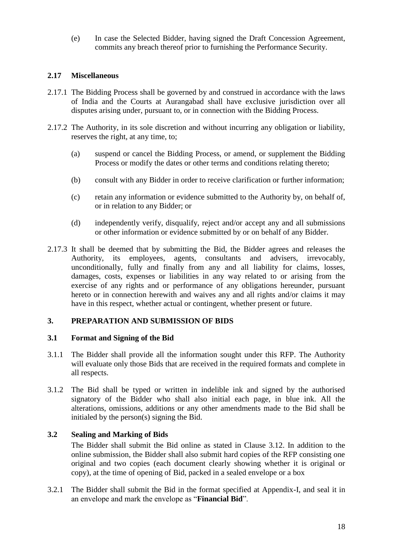(e) In case the Selected Bidder, having signed the Draft Concession Agreement, commits any breach thereof prior to furnishing the Performance Security.

# <span id="page-26-0"></span>**2.17 Miscellaneous**

- 2.17.1 The Bidding Process shall be governed by and construed in accordance with the laws of India and the Courts at Aurangabad shall have exclusive jurisdiction over all disputes arising under, pursuant to, or in connection with the Bidding Process.
- 2.17.2 The Authority, in its sole discretion and without incurring any obligation or liability, reserves the right, at any time, to;
	- (a) suspend or cancel the Bidding Process, or amend, or supplement the Bidding Process or modify the dates or other terms and conditions relating thereto;
	- (b) consult with any Bidder in order to receive clarification or further information;
	- (c) retain any information or evidence submitted to the Authority by, on behalf of, or in relation to any Bidder; or
	- (d) independently verify, disqualify, reject and/or accept any and all submissions or other information or evidence submitted by or on behalf of any Bidder.
- 2.17.3 It shall be deemed that by submitting the Bid, the Bidder agrees and releases the Authority, its employees, agents, consultants and advisers, irrevocably, unconditionally, fully and finally from any and all liability for claims, losses, damages, costs, expenses or liabilities in any way related to or arising from the exercise of any rights and or performance of any obligations hereunder, pursuant hereto or in connection herewith and waives any and all rights and/or claims it may have in this respect, whether actual or contingent, whether present or future.

# <span id="page-26-1"></span>**3. PREPARATION AND SUBMISSION OF BIDS**

#### <span id="page-26-2"></span>**3.1 Format and Signing of the Bid**

- 3.1.1 The Bidder shall provide all the information sought under this RFP. The Authority will evaluate only those Bids that are received in the required formats and complete in all respects.
- 3.1.2 The Bid shall be typed or written in indelible ink and signed by the authorised signatory of the Bidder who shall also initial each page, in blue ink. All the alterations, omissions, additions or any other amendments made to the Bid shall be initialed by the person(s) signing the Bid.

# <span id="page-26-3"></span>**3.2 Sealing and Marking of Bids**

The Bidder shall submit the Bid online as stated in Clause 3.12. In addition to the online submission, the Bidder shall also submit hard copies of the RFP consisting one original and two copies (each document clearly showing whether it is original or copy), at the time of opening of Bid, packed in a sealed envelope or a box

3.2.1 The Bidder shall submit the Bid in the format specified at Appendix-I, and seal it in an envelope and mark the envelope as "**Financial Bid**".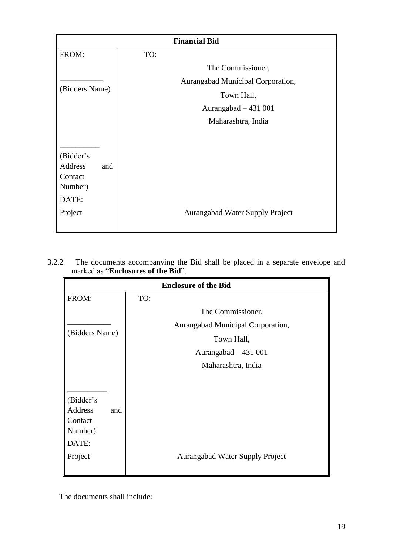| <b>Financial Bid</b>        |                                   |  |  |  |
|-----------------------------|-----------------------------------|--|--|--|
| FROM:                       | TO:                               |  |  |  |
|                             | The Commissioner,                 |  |  |  |
|                             | Aurangabad Municipal Corporation, |  |  |  |
| (Bidders Name)              | Town Hall,                        |  |  |  |
|                             | Aurangabad $-431001$              |  |  |  |
|                             | Maharashtra, India                |  |  |  |
|                             |                                   |  |  |  |
|                             |                                   |  |  |  |
| (Bidder's<br>Address<br>and |                                   |  |  |  |
| Contact                     |                                   |  |  |  |
| Number)                     |                                   |  |  |  |
| DATE:                       |                                   |  |  |  |
| Project                     | Aurangabad Water Supply Project   |  |  |  |
|                             |                                   |  |  |  |

3.2.2 The documents accompanying the Bid shall be placed in a separate envelope and marked as "**Enclosures of the Bid**".

|                             | <b>Enclosure of the Bid</b> |                                        |  |  |  |
|-----------------------------|-----------------------------|----------------------------------------|--|--|--|
| FROM:                       | TO:                         |                                        |  |  |  |
|                             |                             | The Commissioner,                      |  |  |  |
|                             |                             | Aurangabad Municipal Corporation,      |  |  |  |
| (Bidders Name)              |                             | Town Hall,                             |  |  |  |
|                             |                             | Aurangabad $-431001$                   |  |  |  |
|                             |                             | Maharashtra, India                     |  |  |  |
|                             |                             |                                        |  |  |  |
|                             |                             |                                        |  |  |  |
| (Bidder's<br>Address<br>and |                             |                                        |  |  |  |
| Contact                     |                             |                                        |  |  |  |
| Number)                     |                             |                                        |  |  |  |
| DATE:                       |                             |                                        |  |  |  |
| Project                     |                             | <b>Aurangabad Water Supply Project</b> |  |  |  |
|                             |                             |                                        |  |  |  |

The documents shall include: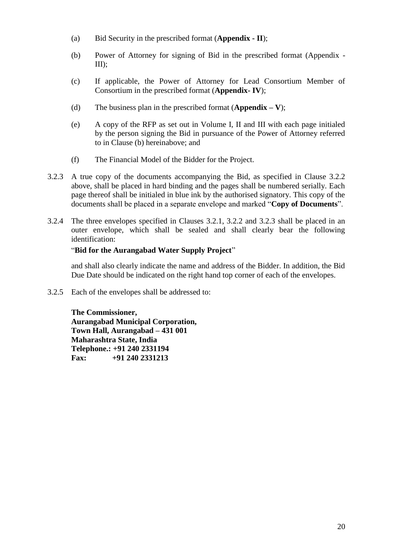- (a) Bid Security in the prescribed format (**Appendix - II**);
- (b) Power of Attorney for signing of Bid in the prescribed format (Appendix III);
- (c) If applicable, the Power of Attorney for Lead Consortium Member of Consortium in the prescribed format (**Appendix- IV**);
- (d) The business plan in the prescribed format (**Appendix – V**);
- (e) A copy of the RFP as set out in Volume I, II and III with each page initialed by the person signing the Bid in pursuance of the Power of Attorney referred to in Clause (b) hereinabove; and
- (f) The Financial Model of the Bidder for the Project.
- 3.2.3 A true copy of the documents accompanying the Bid, as specified in Clause 3.2.2 above, shall be placed in hard binding and the pages shall be numbered serially. Each page thereof shall be initialed in blue ink by the authorised signatory. This copy of the documents shall be placed in a separate envelope and marked "**Copy of Documents**".
- 3.2.4 The three envelopes specified in Clauses 3.2.1, 3.2.2 and 3.2.3 shall be placed in an outer envelope, which shall be sealed and shall clearly bear the following identification:

# "**Bid for the Aurangabad Water Supply Project**"

and shall also clearly indicate the name and address of the Bidder. In addition, the Bid Due Date should be indicated on the right hand top corner of each of the envelopes.

3.2.5 Each of the envelopes shall be addressed to:

**The Commissioner, Aurangabad Municipal Corporation, Town Hall, Aurangabad – 431 001 Maharashtra State, India Telephone.: +91 240 2331194 Fax: +91 240 2331213**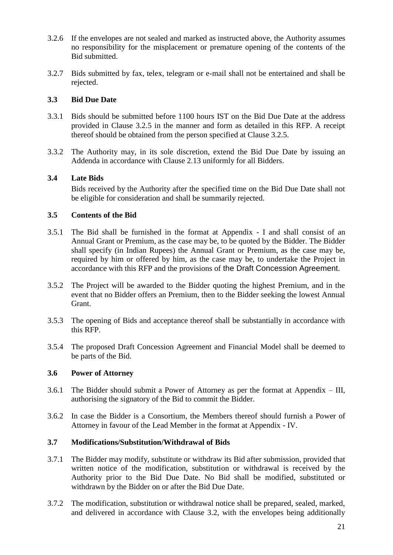- 3.2.6 If the envelopes are not sealed and marked as instructed above, the Authority assumes no responsibility for the misplacement or premature opening of the contents of the Bid submitted.
- 3.2.7 Bids submitted by fax, telex, telegram or e-mail shall not be entertained and shall be rejected.

# <span id="page-29-0"></span>**3.3 Bid Due Date**

- 3.3.1 Bids should be submitted before 1100 hours IST on the Bid Due Date at the address provided in Clause 3.2.5 in the manner and form as detailed in this RFP. A receipt thereof should be obtained from the person specified at Clause 3.2.5.
- 3.3.2 The Authority may, in its sole discretion, extend the Bid Due Date by issuing an Addenda in accordance with Clause 2.13 uniformly for all Bidders.

# <span id="page-29-1"></span>**3.4 Late Bids**

<span id="page-29-2"></span>Bids received by the Authority after the specified time on the Bid Due Date shall not be eligible for consideration and shall be summarily rejected.

# **3.5 Contents of the Bid**

- 3.5.1 The Bid shall be furnished in the format at Appendix I and shall consist of an Annual Grant or Premium, as the case may be, to be quoted by the Bidder. The Bidder shall specify (in Indian Rupees) the Annual Grant or Premium, as the case may be, required by him or offered by him, as the case may be, to undertake the Project in accordance with this RFP and the provisions of the Draft Concession Agreement.
- 3.5.2 The Project will be awarded to the Bidder quoting the highest Premium, and in the event that no Bidder offers an Premium, then to the Bidder seeking the lowest Annual Grant.
- 3.5.3 The opening of Bids and acceptance thereof shall be substantially in accordance with this RFP.
- 3.5.4 The proposed Draft Concession Agreement and Financial Model shall be deemed to be parts of the Bid.

# <span id="page-29-3"></span>**3.6 Power of Attorney**

- 3.6.1 The Bidder should submit a Power of Attorney as per the format at Appendix III, authorising the signatory of the Bid to commit the Bidder.
- 3.6.2 In case the Bidder is a Consortium, the Members thereof should furnish a Power of Attorney in favour of the Lead Member in the format at Appendix - IV.

# <span id="page-29-4"></span>**3.7 Modifications/Substitution/Withdrawal of Bids**

- 3.7.1 The Bidder may modify, substitute or withdraw its Bid after submission, provided that written notice of the modification, substitution or withdrawal is received by the Authority prior to the Bid Due Date. No Bid shall be modified, substituted or withdrawn by the Bidder on or after the Bid Due Date.
- 3.7.2 The modification, substitution or withdrawal notice shall be prepared, sealed, marked, and delivered in accordance with Clause 3.2, with the envelopes being additionally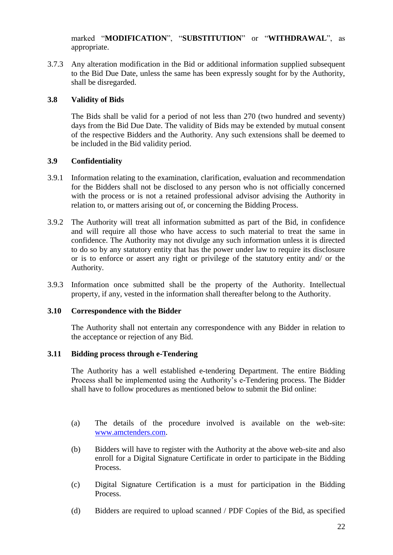marked "**MODIFICATION**", "**SUBSTITUTION**" or "**WITHDRAWAL**", as appropriate.

3.7.3 Any alteration modification in the Bid or additional information supplied subsequent to the Bid Due Date, unless the same has been expressly sought for by the Authority, shall be disregarded.

# <span id="page-30-0"></span>**3.8 Validity of Bids**

The Bids shall be valid for a period of not less than 270 (two hundred and seventy) days from the Bid Due Date. The validity of Bids may be extended by mutual consent of the respective Bidders and the Authority. Any such extensions shall be deemed to be included in the Bid validity period.

## <span id="page-30-1"></span>**3.9 Confidentiality**

- 3.9.1 Information relating to the examination, clarification, evaluation and recommendation for the Bidders shall not be disclosed to any person who is not officially concerned with the process or is not a retained professional advisor advising the Authority in relation to, or matters arising out of, or concerning the Bidding Process.
- 3.9.2 The Authority will treat all information submitted as part of the Bid, in confidence and will require all those who have access to such material to treat the same in confidence. The Authority may not divulge any such information unless it is directed to do so by any statutory entity that has the power under law to require its disclosure or is to enforce or assert any right or privilege of the statutory entity and/ or the Authority.
- 3.9.3 Information once submitted shall be the property of the Authority. Intellectual property, if any, vested in the information shall thereafter belong to the Authority.

# <span id="page-30-2"></span>**3.10 Correspondence with the Bidder**

The Authority shall not entertain any correspondence with any Bidder in relation to the acceptance or rejection of any Bid.

#### <span id="page-30-3"></span>**3.11 Bidding process through e-Tendering**

The Authority has a well established e-tendering Department. The entire Bidding Process shall be implemented using the Authority's e-Tendering process. The Bidder shall have to follow procedures as mentioned below to submit the Bid online:

- (a) The details of the procedure involved is available on the web-site: [www.amctenders.com.](http://www.amctenders.com/)
- (b) Bidders will have to register with the Authority at the above web-site and also enroll for a Digital Signature Certificate in order to participate in the Bidding Process.
- (c) Digital Signature Certification is a must for participation in the Bidding Process.
- (d) Bidders are required to upload scanned / PDF Copies of the Bid, as specified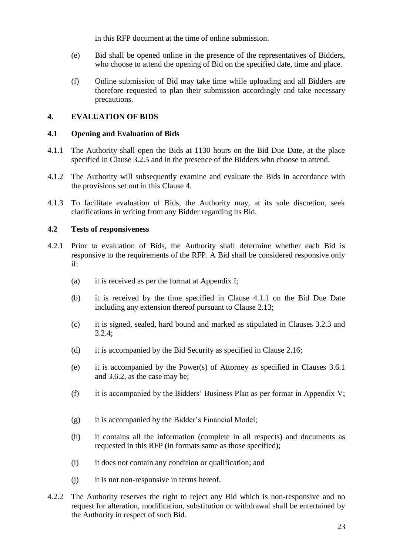in this RFP document at the time of online submission.

- (e) Bid shall be opened online in the presence of the representatives of Bidders, who choose to attend the opening of Bid on the specified date, time and place.
- <span id="page-31-0"></span>(f) Online submission of Bid may take time while uploading and all Bidders are therefore requested to plan their submission accordingly and take necessary precautions.

# **4. EVALUATION OF BIDS**

## <span id="page-31-1"></span>**4.1 Opening and Evaluation of Bids**

- 4.1.1 The Authority shall open the Bids at 1130 hours on the Bid Due Date, at the place specified in Clause 3.2.5 and in the presence of the Bidders who choose to attend.
- 4.1.2 The Authority will subsequently examine and evaluate the Bids in accordance with the provisions set out in this Clause 4.
- 4.1.3 To facilitate evaluation of Bids, the Authority may, at its sole discretion, seek clarifications in writing from any Bidder regarding its Bid.

## <span id="page-31-2"></span>**4.2 Tests of responsiveness**

- 4.2.1 Prior to evaluation of Bids, the Authority shall determine whether each Bid is responsive to the requirements of the RFP. A Bid shall be considered responsive only if:
	- (a) it is received as per the format at Appendix I;
	- (b) it is received by the time specified in Clause 4.1.1 on the Bid Due Date including any extension thereof pursuant to Clause 2.13;
	- (c) it is signed, sealed, hard bound and marked as stipulated in Clauses 3.2.3 and 3.2.4;
	- (d) it is accompanied by the Bid Security as specified in Clause 2.16;
	- (e) it is accompanied by the Power(s) of Attorney as specified in Clauses 3.6.1 and 3.6.2, as the case may be;
	- (f) it is accompanied by the Bidders' Business Plan as per format in Appendix V;
	- (g) it is accompanied by the Bidder's Financial Model;
	- (h) it contains all the information (complete in all respects) and documents as requested in this RFP (in formats same as those specified);
	- (i) it does not contain any condition or qualification; and
	- (j) it is not non-responsive in terms hereof.
- 4.2.2 The Authority reserves the right to reject any Bid which is non-responsive and no request for alteration, modification, substitution or withdrawal shall be entertained by the Authority in respect of such Bid.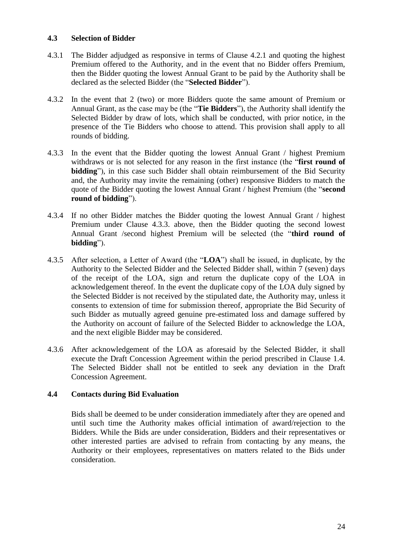# <span id="page-32-0"></span>**4.3 Selection of Bidder**

- 4.3.1 The Bidder adjudged as responsive in terms of Clause 4.2.1 and quoting the highest Premium offered to the Authority, and in the event that no Bidder offers Premium, then the Bidder quoting the lowest Annual Grant to be paid by the Authority shall be declared as the selected Bidder (the "**Selected Bidder**").
- 4.3.2 In the event that 2 (two) or more Bidders quote the same amount of Premium or Annual Grant, as the case may be (the "**Tie Bidders**"), the Authority shall identify the Selected Bidder by draw of lots, which shall be conducted, with prior notice, in the presence of the Tie Bidders who choose to attend. This provision shall apply to all rounds of bidding.
- 4.3.3 In the event that the Bidder quoting the lowest Annual Grant / highest Premium withdraws or is not selected for any reason in the first instance (the "**first round of bidding**"), in this case such Bidder shall obtain reimbursement of the Bid Security and, the Authority may invite the remaining (other) responsive Bidders to match the quote of the Bidder quoting the lowest Annual Grant / highest Premium (the "**second round of bidding**").
- 4.3.4 If no other Bidder matches the Bidder quoting the lowest Annual Grant / highest Premium under Clause 4.3.3. above, then the Bidder quoting the second lowest Annual Grant /second highest Premium will be selected (the "**third round of bidding**").
- 4.3.5 After selection, a Letter of Award (the "**LOA**") shall be issued, in duplicate, by the Authority to the Selected Bidder and the Selected Bidder shall, within 7 (seven) days of the receipt of the LOA, sign and return the duplicate copy of the LOA in acknowledgement thereof. In the event the duplicate copy of the LOA duly signed by the Selected Bidder is not received by the stipulated date, the Authority may, unless it consents to extension of time for submission thereof, appropriate the Bid Security of such Bidder as mutually agreed genuine pre-estimated loss and damage suffered by the Authority on account of failure of the Selected Bidder to acknowledge the LOA, and the next eligible Bidder may be considered.
- 4.3.6 After acknowledgement of the LOA as aforesaid by the Selected Bidder, it shall execute the Draft Concession Agreement within the period prescribed in Clause 1.4. The Selected Bidder shall not be entitled to seek any deviation in the Draft Concession Agreement.

#### <span id="page-32-1"></span>**4.4 Contacts during Bid Evaluation**

Bids shall be deemed to be under consideration immediately after they are opened and until such time the Authority makes official intimation of award/rejection to the Bidders. While the Bids are under consideration, Bidders and their representatives or other interested parties are advised to refrain from contacting by any means, the Authority or their employees, representatives on matters related to the Bids under consideration.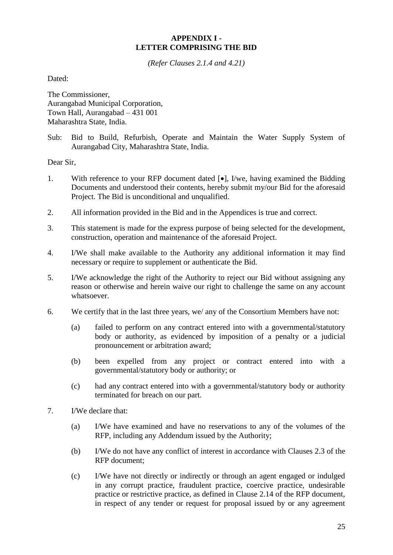# **APPENDIX I - LETTER COMPRISING THE BID**

*(Refer Clauses 2.1.4 and 4.21)*

<span id="page-33-0"></span>Dated:

The Commissioner, Aurangabad Municipal Corporation, Town Hall, Aurangabad – 431 001 Maharashtra State, India.

Sub: Bid to Build, Refurbish, Operate and Maintain the Water Supply System of Aurangabad City, Maharashtra State, India.

Dear Sir,

- 1. With reference to your RFP document dated  $[\bullet]$ , I/we, having examined the Bidding Documents and understood their contents, hereby submit my/our Bid for the aforesaid Project. The Bid is unconditional and unqualified.
- 2. All information provided in the Bid and in the Appendices is true and correct.
- 3. This statement is made for the express purpose of being selected for the development, construction, operation and maintenance of the aforesaid Project.
- 4. I/We shall make available to the Authority any additional information it may find necessary or require to supplement or authenticate the Bid.
- 5. I/We acknowledge the right of the Authority to reject our Bid without assigning any reason or otherwise and herein waive our right to challenge the same on any account whatsoever.
- 6. We certify that in the last three years, we/ any of the Consortium Members have not:
	- (a) failed to perform on any contract entered into with a governmental/statutory body or authority, as evidenced by imposition of a penalty or a judicial pronouncement or arbitration award;
	- (b) been expelled from any project or contract entered into with a governmental/statutory body or authority; or
	- (c) had any contract entered into with a governmental/statutory body or authority terminated for breach on our part.
- 7. I/We declare that:
	- (a) I/We have examined and have no reservations to any of the volumes of the RFP, including any Addendum issued by the Authority;
	- (b) I/We do not have any conflict of interest in accordance with Clauses 2.3 of the RFP document;
	- (c) I/We have not directly or indirectly or through an agent engaged or indulged in any corrupt practice, fraudulent practice, coercive practice, undesirable practice or restrictive practice, as defined in Clause 2.14 of the RFP document, in respect of any tender or request for proposal issued by or any agreement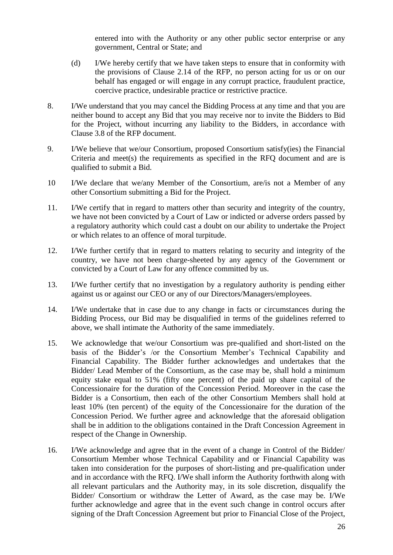entered into with the Authority or any other public sector enterprise or any government, Central or State; and

- (d) I/We hereby certify that we have taken steps to ensure that in conformity with the provisions of Clause 2.14 of the RFP, no person acting for us or on our behalf has engaged or will engage in any corrupt practice, fraudulent practice, coercive practice, undesirable practice or restrictive practice.
- 8. I/We understand that you may cancel the Bidding Process at any time and that you are neither bound to accept any Bid that you may receive nor to invite the Bidders to Bid for the Project, without incurring any liability to the Bidders, in accordance with Clause 3.8 of the RFP document.
- 9. I/We believe that we/our Consortium, proposed Consortium satisfy(ies) the Financial Criteria and meet(s) the requirements as specified in the RFQ document and are is qualified to submit a Bid.
- 10 I/We declare that we/any Member of the Consortium, are/is not a Member of any other Consortium submitting a Bid for the Project.
- 11. I/We certify that in regard to matters other than security and integrity of the country, we have not been convicted by a Court of Law or indicted or adverse orders passed by a regulatory authority which could cast a doubt on our ability to undertake the Project or which relates to an offence of moral turpitude.
- 12. I/We further certify that in regard to matters relating to security and integrity of the country, we have not been charge-sheeted by any agency of the Government or convicted by a Court of Law for any offence committed by us.
- 13. I/We further certify that no investigation by a regulatory authority is pending either against us or against our CEO or any of our Directors/Managers/employees.
- 14. I/We undertake that in case due to any change in facts or circumstances during the Bidding Process, our Bid may be disqualified in terms of the guidelines referred to above, we shall intimate the Authority of the same immediately.
- 15. We acknowledge that we/our Consortium was pre-qualified and short-listed on the basis of the Bidder's /or the Consortium Member's Technical Capability and Financial Capability. The Bidder further acknowledges and undertakes that the Bidder/ Lead Member of the Consortium, as the case may be, shall hold a minimum equity stake equal to 51% (fifty one percent) of the paid up share capital of the Concessionaire for the duration of the Concession Period. Moreover in the case the Bidder is a Consortium, then each of the other Consortium Members shall hold at least 10% (ten percent) of the equity of the Concessionaire for the duration of the Concession Period. We further agree and acknowledge that the aforesaid obligation shall be in addition to the obligations contained in the Draft Concession Agreement in respect of the Change in Ownership.
- 16. I/We acknowledge and agree that in the event of a change in Control of the Bidder/ Consortium Member whose Technical Capability and or Financial Capability was taken into consideration for the purposes of short-listing and pre-qualification under and in accordance with the RFQ. I/We shall inform the Authority forthwith along with all relevant particulars and the Authority may, in its sole discretion, disqualify the Bidder/ Consortium or withdraw the Letter of Award, as the case may be. I/We further acknowledge and agree that in the event such change in control occurs after signing of the Draft Concession Agreement but prior to Financial Close of the Project,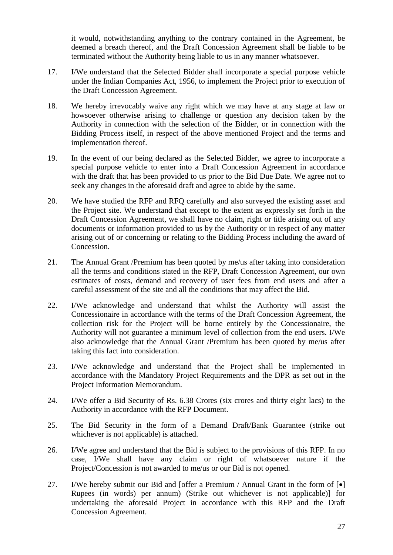it would, notwithstanding anything to the contrary contained in the Agreement, be deemed a breach thereof, and the Draft Concession Agreement shall be liable to be terminated without the Authority being liable to us in any manner whatsoever.

- 17. I/We understand that the Selected Bidder shall incorporate a special purpose vehicle under the Indian Companies Act, 1956, to implement the Project prior to execution of the Draft Concession Agreement.
- 18. We hereby irrevocably waive any right which we may have at any stage at law or howsoever otherwise arising to challenge or question any decision taken by the Authority in connection with the selection of the Bidder, or in connection with the Bidding Process itself, in respect of the above mentioned Project and the terms and implementation thereof.
- 19. In the event of our being declared as the Selected Bidder, we agree to incorporate a special purpose vehicle to enter into a Draft Concession Agreement in accordance with the draft that has been provided to us prior to the Bid Due Date. We agree not to seek any changes in the aforesaid draft and agree to abide by the same.
- 20. We have studied the RFP and RFQ carefully and also surveyed the existing asset and the Project site. We understand that except to the extent as expressly set forth in the Draft Concession Agreement, we shall have no claim, right or title arising out of any documents or information provided to us by the Authority or in respect of any matter arising out of or concerning or relating to the Bidding Process including the award of Concession.
- 21. The Annual Grant /Premium has been quoted by me/us after taking into consideration all the terms and conditions stated in the RFP, Draft Concession Agreement, our own estimates of costs, demand and recovery of user fees from end users and after a careful assessment of the site and all the conditions that may affect the Bid.
- 22. I/We acknowledge and understand that whilst the Authority will assist the Concessionaire in accordance with the terms of the Draft Concession Agreement, the collection risk for the Project will be borne entirely by the Concessionaire, the Authority will not guarantee a minimum level of collection from the end users. I/We also acknowledge that the Annual Grant /Premium has been quoted by me/us after taking this fact into consideration.
- 23. I/We acknowledge and understand that the Project shall be implemented in accordance with the Mandatory Project Requirements and the DPR as set out in the Project Information Memorandum.
- 24. I/We offer a Bid Security of Rs. 6.38 Crores (six crores and thirty eight lacs) to the Authority in accordance with the RFP Document.
- 25. The Bid Security in the form of a Demand Draft/Bank Guarantee (strike out whichever is not applicable) is attached.
- 26. I/We agree and understand that the Bid is subject to the provisions of this RFP. In no case, I/We shall have any claim or right of whatsoever nature if the Project/Concession is not awarded to me/us or our Bid is not opened.
- 27. I/We hereby submit our Bid and [offer a Premium / Annual Grant in the form of  $\lceil \bullet \rceil$ Rupees (in words) per annum) (Strike out whichever is not applicable)] for undertaking the aforesaid Project in accordance with this RFP and the Draft Concession Agreement.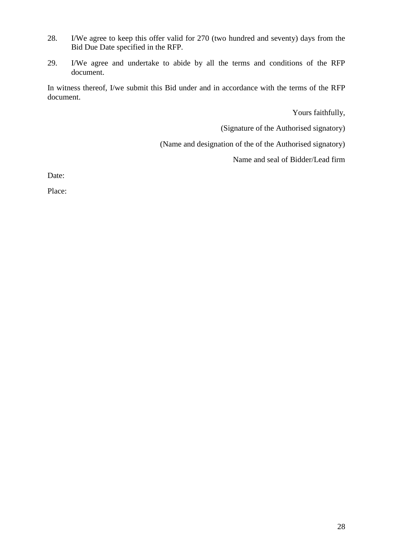- 28. I/We agree to keep this offer valid for 270 (two hundred and seventy) days from the Bid Due Date specified in the RFP.
- 29. I/We agree and undertake to abide by all the terms and conditions of the RFP document.

In witness thereof, I/we submit this Bid under and in accordance with the terms of the RFP document.

Yours faithfully,

(Signature of the Authorised signatory)

(Name and designation of the of the Authorised signatory)

Name and seal of Bidder/Lead firm

Date:

Place: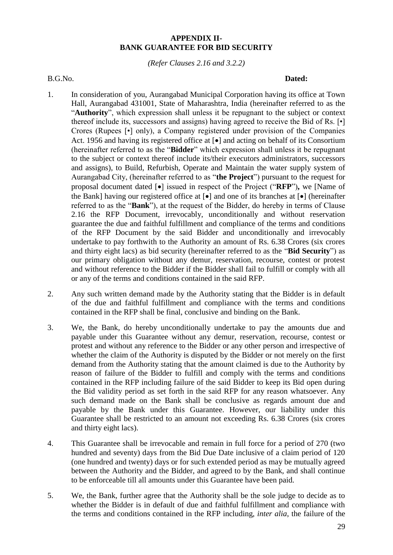## **APPENDIX II-BANK GUARANTEE FOR BID SECURITY**

*(Refer Clauses 2.16 and 3.2.2)*

#### <span id="page-37-0"></span>B.G.No. **Dated: Dated:**

- 1. In consideration of you, Aurangabad Municipal Corporation having its office at Town Hall, Aurangabad 431001, State of Maharashtra, India (hereinafter referred to as the "**Authority**", which expression shall unless it be repugnant to the subject or context thereof include its, successors and assigns) having agreed to receive the Bid of Rs. [•] Crores (Rupees [•] only), a Company registered under provision of the Companies Act. 1956 and having its registered office at  $\lceil \bullet \rceil$  and acting on behalf of its Consortium (hereinafter referred to as the "**Bidder**" which expression shall unless it be repugnant to the subject or context thereof include its/their executors administrators, successors and assigns), to Build, Refurbish, Operate and Maintain the water supply system of Aurangabad City, (hereinafter referred to as "**the Project**") pursuant to the request for proposal document dated  $\lceil \bullet \rceil$  issued in respect of the Project ("RFP"), we [Name of the Bank] having our registered office at  $\lceil \bullet \rceil$  and one of its branches at  $\lceil \bullet \rceil$  (hereinafter referred to as the "**Bank**"), at the request of the Bidder, do hereby in terms of Clause 2.16 the RFP Document, irrevocably, unconditionally and without reservation guarantee the due and faithful fulfillment and compliance of the terms and conditions of the RFP Document by the said Bidder and unconditionally and irrevocably undertake to pay forthwith to the Authority an amount of Rs. 6.38 Crores (six crores and thirty eight lacs) as bid security (hereinafter referred to as the "**Bid Security**") as our primary obligation without any demur, reservation, recourse, contest or protest and without reference to the Bidder if the Bidder shall fail to fulfill or comply with all or any of the terms and conditions contained in the said RFP.
- 2. Any such written demand made by the Authority stating that the Bidder is in default of the due and faithful fulfillment and compliance with the terms and conditions contained in the RFP shall be final, conclusive and binding on the Bank.
- 3. We, the Bank, do hereby unconditionally undertake to pay the amounts due and payable under this Guarantee without any demur, reservation, recourse, contest or protest and without any reference to the Bidder or any other person and irrespective of whether the claim of the Authority is disputed by the Bidder or not merely on the first demand from the Authority stating that the amount claimed is due to the Authority by reason of failure of the Bidder to fulfill and comply with the terms and conditions contained in the RFP including failure of the said Bidder to keep its Bid open during the Bid validity period as set forth in the said RFP for any reason whatsoever. Any such demand made on the Bank shall be conclusive as regards amount due and payable by the Bank under this Guarantee. However, our liability under this Guarantee shall be restricted to an amount not exceeding Rs. 6.38 Crores (six crores and thirty eight lacs).
- 4. This Guarantee shall be irrevocable and remain in full force for a period of 270 (two hundred and seventy) days from the Bid Due Date inclusive of a claim period of 120 (one hundred and twenty) days or for such extended period as may be mutually agreed between the Authority and the Bidder, and agreed to by the Bank, and shall continue to be enforceable till all amounts under this Guarantee have been paid.
- 5. We, the Bank, further agree that the Authority shall be the sole judge to decide as to whether the Bidder is in default of due and faithful fulfillment and compliance with the terms and conditions contained in the RFP including, *inter alia*, the failure of the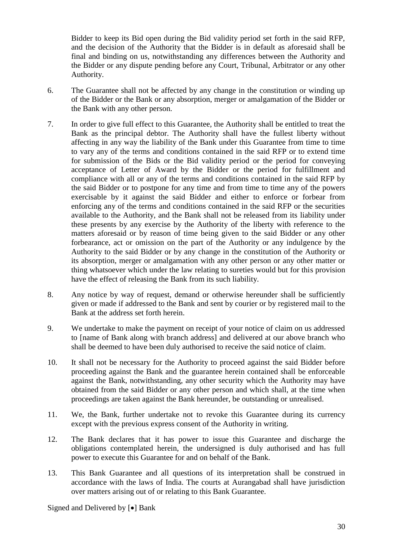Bidder to keep its Bid open during the Bid validity period set forth in the said RFP, and the decision of the Authority that the Bidder is in default as aforesaid shall be final and binding on us, notwithstanding any differences between the Authority and the Bidder or any dispute pending before any Court, Tribunal, Arbitrator or any other Authority.

- 6. The Guarantee shall not be affected by any change in the constitution or winding up of the Bidder or the Bank or any absorption, merger or amalgamation of the Bidder or the Bank with any other person.
- 7. In order to give full effect to this Guarantee, the Authority shall be entitled to treat the Bank as the principal debtor. The Authority shall have the fullest liberty without affecting in any way the liability of the Bank under this Guarantee from time to time to vary any of the terms and conditions contained in the said RFP or to extend time for submission of the Bids or the Bid validity period or the period for conveying acceptance of Letter of Award by the Bidder or the period for fulfillment and compliance with all or any of the terms and conditions contained in the said RFP by the said Bidder or to postpone for any time and from time to time any of the powers exercisable by it against the said Bidder and either to enforce or forbear from enforcing any of the terms and conditions contained in the said RFP or the securities available to the Authority, and the Bank shall not be released from its liability under these presents by any exercise by the Authority of the liberty with reference to the matters aforesaid or by reason of time being given to the said Bidder or any other forbearance, act or omission on the part of the Authority or any indulgence by the Authority to the said Bidder or by any change in the constitution of the Authority or its absorption, merger or amalgamation with any other person or any other matter or thing whatsoever which under the law relating to sureties would but for this provision have the effect of releasing the Bank from its such liability.
- 8. Any notice by way of request, demand or otherwise hereunder shall be sufficiently given or made if addressed to the Bank and sent by courier or by registered mail to the Bank at the address set forth herein.
- 9. We undertake to make the payment on receipt of your notice of claim on us addressed to [name of Bank along with branch address] and delivered at our above branch who shall be deemed to have been duly authorised to receive the said notice of claim.
- 10. It shall not be necessary for the Authority to proceed against the said Bidder before proceeding against the Bank and the guarantee herein contained shall be enforceable against the Bank, notwithstanding, any other security which the Authority may have obtained from the said Bidder or any other person and which shall, at the time when proceedings are taken against the Bank hereunder, be outstanding or unrealised.
- 11. We, the Bank, further undertake not to revoke this Guarantee during its currency except with the previous express consent of the Authority in writing.
- 12. The Bank declares that it has power to issue this Guarantee and discharge the obligations contemplated herein, the undersigned is duly authorised and has full power to execute this Guarantee for and on behalf of the Bank.
- 13. This Bank Guarantee and all questions of its interpretation shall be construed in accordance with the laws of India. The courts at Aurangabad shall have jurisdiction over matters arising out of or relating to this Bank Guarantee.

Signed and Delivered by [ $\bullet$ ] Bank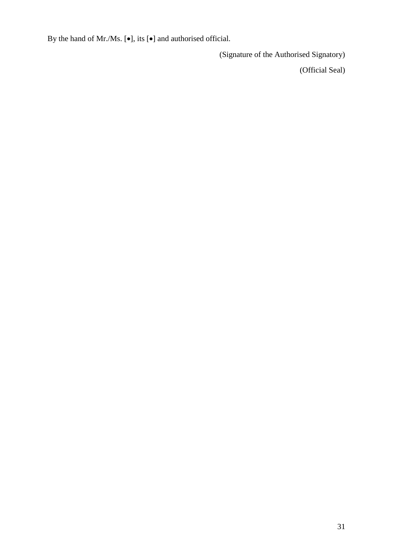By the hand of Mr./Ms.  $[\bullet]$ , its  $[\bullet]$  and authorised official.

(Signature of the Authorised Signatory)

(Official Seal)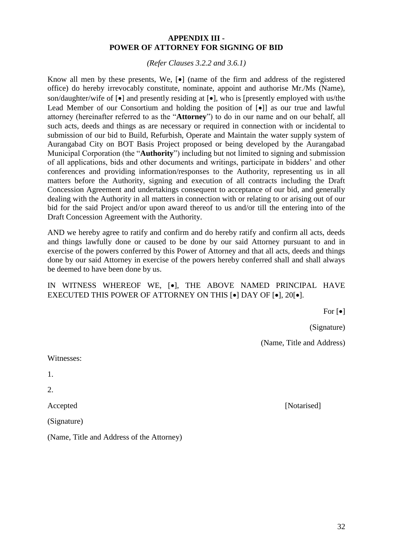#### **APPENDIX III - POWER OF ATTORNEY FOR SIGNING OF BID**

*(Refer Clauses 3.2.2 and 3.6.1)*

<span id="page-40-0"></span>Know all men by these presents, We,  $\lceil \bullet \rceil$  (name of the firm and address of the registered office) do hereby irrevocably constitute, nominate, appoint and authorise Mr./Ms (Name), son/daughter/wife of  $\lceil \bullet \rceil$  and presently residing at  $\lceil \bullet \rceil$ , who is [presently employed with us/the Lead Member of our Consortium and holding the position of  $\lceil \bullet \rceil$  as our true and lawful attorney (hereinafter referred to as the "**Attorney**") to do in our name and on our behalf, all such acts, deeds and things as are necessary or required in connection with or incidental to submission of our bid to Build, Refurbish, Operate and Maintain the water supply system of Aurangabad City on BOT Basis Project proposed or being developed by the Aurangabad Municipal Corporation (the "**Authority**") including but not limited to signing and submission of all applications, bids and other documents and writings, participate in bidders' and other conferences and providing information/responses to the Authority, representing us in all matters before the Authority, signing and execution of all contracts including the Draft Concession Agreement and undertakings consequent to acceptance of our bid, and generally dealing with the Authority in all matters in connection with or relating to or arising out of our bid for the said Project and/or upon award thereof to us and/or till the entering into of the Draft Concession Agreement with the Authority.

AND we hereby agree to ratify and confirm and do hereby ratify and confirm all acts, deeds and things lawfully done or caused to be done by our said Attorney pursuant to and in exercise of the powers conferred by this Power of Attorney and that all acts, deeds and things done by our said Attorney in exercise of the powers hereby conferred shall and shall always be deemed to have been done by us.

# IN WITNESS WHEREOF WE, [ $\bullet$ ], THE ABOVE NAMED PRINCIPAL HAVE EXECUTED THIS POWER OF ATTORNEY ON THIS  $[•]$  DAY OF  $[•]$ , 20 $[•]$ .

For  $\lceil \bullet \rceil$ 

(Signature)

(Name, Title and Address)

Witnesses:

1.

2.

(Signature)

(Name, Title and Address of the Attorney)

Accepted [Notarised]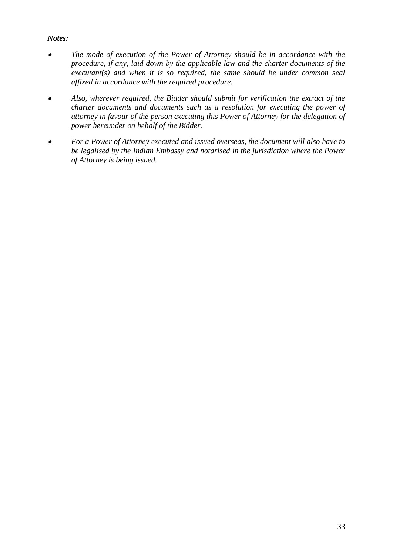# *Notes:*

- $\bullet$  *The mode of execution of the Power of Attorney should be in accordance with the procedure, if any, laid down by the applicable law and the charter documents of the executant(s) and when it is so required, the same should be under common seal affixed in accordance with the required procedure.*
- . *Also, wherever required, the Bidder should submit for verification the extract of the charter documents and documents such as a resolution for executing the power of attorney in favour of the person executing this Power of Attorney for the delegation of power hereunder on behalf of the Bidder.*
- $\bullet$  *For a Power of Attorney executed and issued overseas, the document will also have to be legalised by the Indian Embassy and notarised in the jurisdiction where the Power of Attorney is being issued.*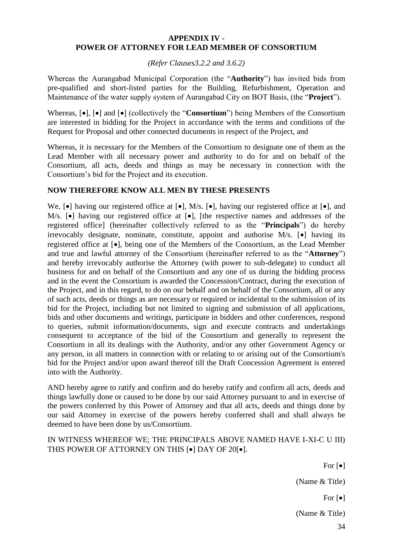#### <span id="page-42-0"></span>**APPENDIX IV - POWER OF ATTORNEY FOR LEAD MEMBER OF CONSORTIUM**

*(Refer Clauses3.2.2 and 3.6.2)*

Whereas the Aurangabad Municipal Corporation (the "**Authority**") has invited bids from pre-qualified and short-listed parties for the Building, Refurbishment, Operation and Maintenance of the water supply system of Aurangabad City on BOT Basis, (the "**Project**").

Whereas,  $[\bullet]$ ,  $[\bullet]$  and  $[\bullet]$  (collectively the "**Consortium**") being Members of the Consortium are interested in bidding for the Project in accordance with the terms and conditions of the Request for Proposal and other connected documents in respect of the Project, and

Whereas, it is necessary for the Members of the Consortium to designate one of them as the Lead Member with all necessary power and authority to do for and on behalf of the Consortium, all acts, deeds and things as may be necessary in connection with the Consortium's bid for the Project and its execution.

# **NOW THEREFORE KNOW ALL MEN BY THESE PRESENTS**

We,  $[\bullet]$  having our registered office at  $[\bullet]$ , M/s.  $[\bullet]$ , having our registered office at  $[\bullet]$ , and M/s.  $\bullet$  having our registered office at  $\bullet$ , [the respective names and addresses of the registered office] (hereinafter collectively referred to as the "**Principals**") do hereby irrevocably designate, nominate, constitute, appoint and authorise  $M/s$ .  $\bullet$  having its registered office at  $[\bullet]$ , being one of the Members of the Consortium, as the Lead Member and true and lawful attorney of the Consortium (hereinafter referred to as the "**Attorney**") and hereby irrevocably authorise the Attorney (with power to sub-delegate) to conduct all business for and on behalf of the Consortium and any one of us during the bidding process and in the event the Consortium is awarded the Concession/Contract, during the execution of the Project, and in this regard, to do on our behalf and on behalf of the Consortium, all or any of such acts, deeds or things as are necessary or required or incidental to the submission of its bid for the Project, including but not limited to signing and submission of all applications, bids and other documents and writings, participate in bidders and other conferences, respond to queries, submit information/documents, sign and execute contracts and undertakings consequent to acceptance of the bid of the Consortium and generally to represent the Consortium in all its dealings with the Authority, and/or any other Government Agency or any person, in all matters in connection with or relating to or arising out of the Consortium's bid for the Project and/or upon award thereof till the Draft Concession Agreement is entered into with the Authority.

AND hereby agree to ratify and confirm and do hereby ratify and confirm all acts, deeds and things lawfully done or caused to be done by our said Attorney pursuant to and in exercise of the powers conferred by this Power of Attorney and that all acts, deeds and things done by our said Attorney in exercise of the powers hereby conferred shall and shall always be deemed to have been done by us/Consortium.

IN WITNESS WHEREOF WE; THE PRINCIPALS ABOVE NAMED HAVE I-XI-C U III) THIS POWER OF ATTORNEY ON THIS  $[•]$  DAY OF 20 $[•]$ .

> For  $\lceil \bullet \rceil$ (Name & Title)

> > For  $\lceil \bullet \rceil$

(Name & Title)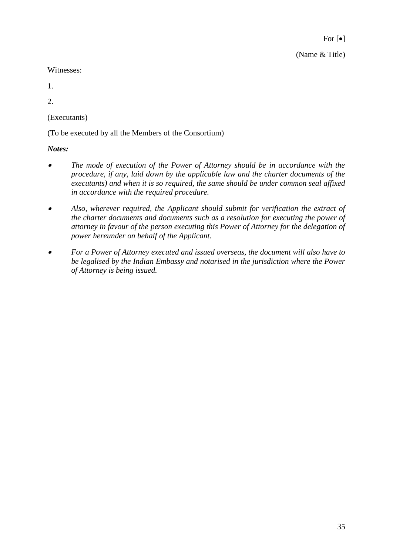For  $[\bullet]$ (Name & Title)

Witnesses:

1.

2.

(Executants)

(To be executed by all the Members of the Consortium)

*Notes:*

- . *The mode of execution of the Power of Attorney should be in accordance with the procedure, if any, laid down by the applicable law and the charter documents of the executants) and when it is so required, the same should be under common seal affixed in accordance with the required procedure.*
- $\bullet$  *Also, wherever required, the Applicant should submit for verification the extract of the charter documents and documents such as a resolution for executing the power of attorney in favour of the person executing this Power of Attorney for the delegation of power hereunder on behalf of the Applicant.*
- $\bullet$  *For a Power of Attorney executed and issued overseas, the document will also have to be legalised by the Indian Embassy and notarised in the jurisdiction where the Power of Attorney is being issued.*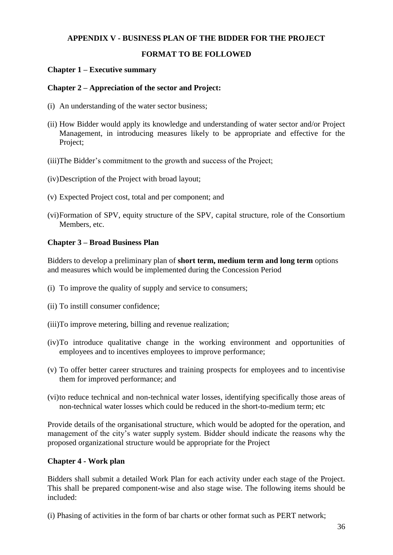# <span id="page-44-0"></span>**APPENDIX V - BUSINESS PLAN OF THE BIDDER FOR THE PROJECT**

# **FORMAT TO BE FOLLOWED**

## **Chapter 1 – Executive summary**

#### **Chapter 2 – Appreciation of the sector and Project:**

- (i) An understanding of the water sector business;
- (ii) How Bidder would apply its knowledge and understanding of water sector and/or Project Management, in introducing measures likely to be appropriate and effective for the Project;
- (iii)The Bidder's commitment to the growth and success of the Project;
- (iv)Description of the Project with broad layout;
- (v) Expected Project cost, total and per component; and
- (vi)Formation of SPV, equity structure of the SPV, capital structure, role of the Consortium Members, etc.

## **Chapter 3 – Broad Business Plan**

Bidders to develop a preliminary plan of **short term, medium term and long term** options and measures which would be implemented during the Concession Period

- (i) To improve the quality of supply and service to consumers;
- (ii) To instill consumer confidence;
- (iii)To improve metering, billing and revenue realization;
- (iv)To introduce qualitative change in the working environment and opportunities of employees and to incentives employees to improve performance;
- (v) To offer better career structures and training prospects for employees and to incentivise them for improved performance; and
- (vi)to reduce technical and non-technical water losses, identifying specifically those areas of non-technical water losses which could be reduced in the short-to-medium term; etc

Provide details of the organisational structure, which would be adopted for the operation, and management of the city's water supply system. Bidder should indicate the reasons why the proposed organizational structure would be appropriate for the Project

#### **Chapter 4 - Work plan**

Bidders shall submit a detailed Work Plan for each activity under each stage of the Project. This shall be prepared component-wise and also stage wise. The following items should be included:

(i) Phasing of activities in the form of bar charts or other format such as PERT network;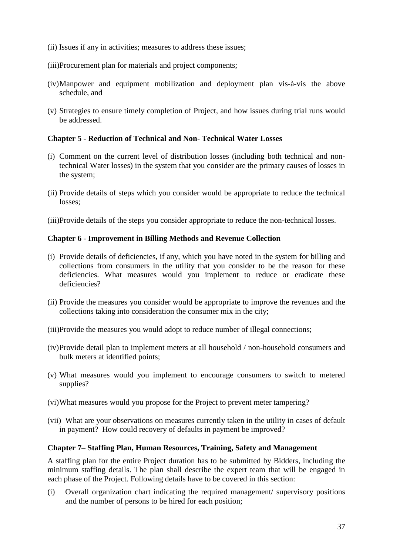- (ii) Issues if any in activities; measures to address these issues;
- (iii)Procurement plan for materials and project components;
- (iv)Manpower and equipment mobilization and deployment plan vis-à-vis the above schedule, and
- (v) Strategies to ensure timely completion of Project, and how issues during trial runs would be addressed.

# **Chapter 5 - Reduction of Technical and Non- Technical Water Losses**

- (i) Comment on the current level of distribution losses (including both technical and nontechnical Water losses) in the system that you consider are the primary causes of losses in the system;
- (ii) Provide details of steps which you consider would be appropriate to reduce the technical losses;
- (iii)Provide details of the steps you consider appropriate to reduce the non-technical losses.

# **Chapter 6 - Improvement in Billing Methods and Revenue Collection**

- (i) Provide details of deficiencies, if any, which you have noted in the system for billing and collections from consumers in the utility that you consider to be the reason for these deficiencies. What measures would you implement to reduce or eradicate these deficiencies?
- (ii) Provide the measures you consider would be appropriate to improve the revenues and the collections taking into consideration the consumer mix in the city;
- (iii)Provide the measures you would adopt to reduce number of illegal connections;
- (iv)Provide detail plan to implement meters at all household / non-household consumers and bulk meters at identified points;
- (v) What measures would you implement to encourage consumers to switch to metered supplies?
- (vi)What measures would you propose for the Project to prevent meter tampering?
- (vii) What are your observations on measures currently taken in the utility in cases of default in payment? How could recovery of defaults in payment be improved?

# **Chapter 7– Staffing Plan, Human Resources, Training, Safety and Management**

A staffing plan for the entire Project duration has to be submitted by Bidders, including the minimum staffing details. The plan shall describe the expert team that will be engaged in each phase of the Project. Following details have to be covered in this section:

(i) Overall organization chart indicating the required management/ supervisory positions and the number of persons to be hired for each position;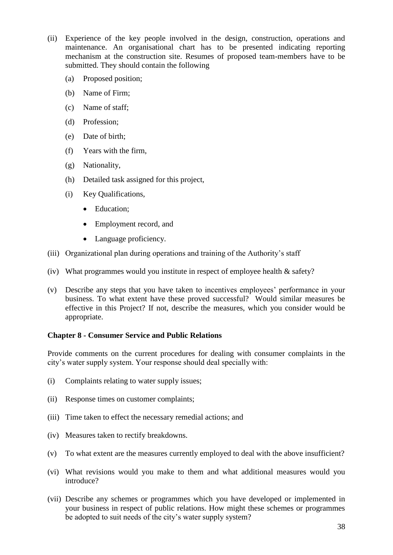- (ii) Experience of the key people involved in the design, construction, operations and maintenance. An organisational chart has to be presented indicating reporting mechanism at the construction site. Resumes of proposed team-members have to be submitted. They should contain the following
	- (a) Proposed position;
	- (b) Name of Firm;
	- (c) Name of staff;
	- (d) Profession;
	- (e) Date of birth;
	- (f) Years with the firm,
	- (g) Nationality,
	- (h) Detailed task assigned for this project,
	- (i) Key Qualifications,
		- Education:
		- Employment record, and
		- Language proficiency.
- (iii) Organizational plan during operations and training of the Authority's staff
- (iv) What programmes would you institute in respect of employee health & safety?
- (v) Describe any steps that you have taken to incentives employees' performance in your business. To what extent have these proved successful? Would similar measures be effective in this Project? If not, describe the measures, which you consider would be appropriate.

#### **Chapter 8 - Consumer Service and Public Relations**

Provide comments on the current procedures for dealing with consumer complaints in the city's water supply system. Your response should deal specially with:

- (i) Complaints relating to water supply issues;
- (ii) Response times on customer complaints;
- (iii) Time taken to effect the necessary remedial actions; and
- (iv) Measures taken to rectify breakdowns.
- (v) To what extent are the measures currently employed to deal with the above insufficient?
- (vi) What revisions would you make to them and what additional measures would you introduce?
- (vii) Describe any schemes or programmes which you have developed or implemented in your business in respect of public relations. How might these schemes or programmes be adopted to suit needs of the city's water supply system?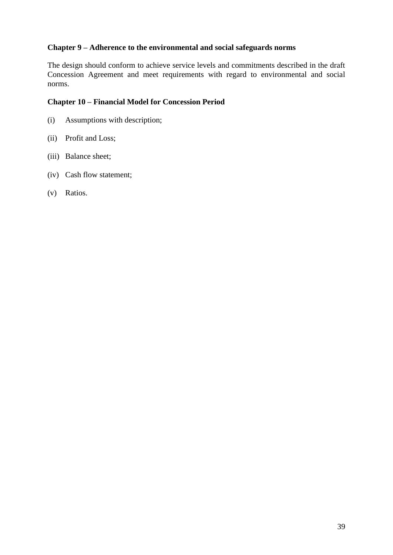## **Chapter 9 – Adherence to the environmental and social safeguards norms**

The design should conform to achieve service levels and commitments described in the draft Concession Agreement and meet requirements with regard to environmental and social norms.

## **Chapter 10 – Financial Model for Concession Period**

- (i) Assumptions with description;
- (ii) Profit and Loss;
- (iii) Balance sheet;
- (iv) Cash flow statement;
- (v) Ratios.